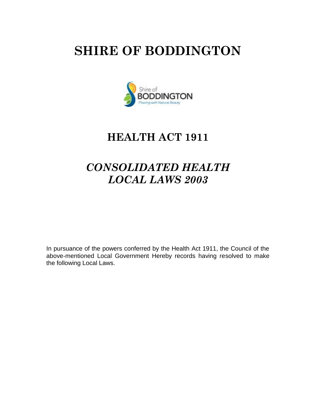# **SHIRE OF BODDINGTON**



## **HEALTH ACT 1911**

## *CONSOLIDATED HEALTH LOCAL LAWS 2003*

In pursuance of the powers conferred by the Health Act 1911, the Council of the above-mentioned Local Government Hereby records having resolved to make the following Local Laws.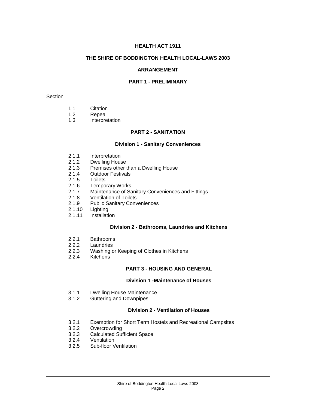## **HEALTH ACT 1911**

## **THE SHIRE OF BODDINGTON HEALTH LOCAL-LAWS 2003**

#### **ARRANGEMENT**

## **PART 1 - PRELIMINARY**

#### Section

- 1.2 Repeal
- 1.3 Interpretation

## **PART 2 - SANITATION**

#### **Division 1 - Sanitary Conveniences**

- 2.1.1 Interpretation
- 2.1.2 Dwelling House
- 2.1.3 Premises other than a Dwelling House
- 2.1.4 Outdoor Festivals<br>2.1.5 Toilets
- 2.1.5 Toilets<br>2.1.6 Tempo
- **Temporary Works**
- 2.1.7 Maintenance of Sanitary Conveniences and Fittings
- 2.1.8 Ventilation of Toilets<br>2.1.9 Public Sanitary Conv
- 2.1.9 Public Sanitary Conveniences<br>2.1.10 Lighting
- 2.1.10 Lighting<br>2.1.11 Installati
- Installation

## **Division 2 - Bathrooms, Laundries and Kitchens**

- 2.2.1 Bathrooms<br>2.2.2 Laundries
- 2.2.2 Laundries<br>2.2.3 Washing of
- 2.2.3 Washing or Keeping of Clothes in Kitchens<br>2.2.4 Kitchens
- **Kitchens**

## **PART 3 - HOUSING AND GENERAL**

## **Division 1 -Maintenance of Houses**

- 3.1.1 Dwelling House Maintenance
- 3.1.2 Guttering and Downpipes

#### **Division 2 - Ventilation of Houses**

- 3.2.1 Exemption for Short Term Hostels and Recreational Campsites
- 3.2.2 Overcrowding
- 3.2.3 Calculated Sufficient Space
- 3.2.4 Ventilation
- 3.2.5 Sub-floor Ventilation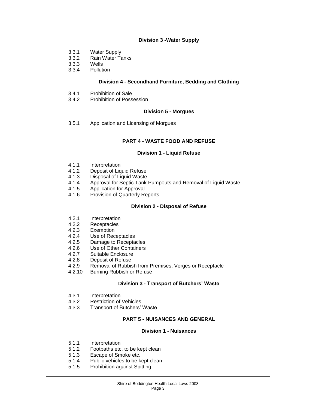## **Division 3 -Water Supply**

- 3.3.1 Water Supply
- 3.3.2 Rain Water Tanks
- 3.3.3 Wells<br>3.3.4 Pollut
- **Pollution**

## **Division 4 - Secondhand Furniture, Bedding and Clothing**

- 3.4.1 Prohibition of Sale<br>3.4.2 Prohibition of Poss
- **Prohibition of Possession**

## **Division 5 - Morgues**

3.5.1 Application and Licensing of Morgues

## **PART 4 - WASTE FOOD AND REFUSE**

#### **Division 1 - Liquid Refuse**

- 4.1.1 Interpretation<br>4.1.2 Deposit of Lig
- 4.1.2 Deposit of Liquid Refuse<br>4.1.3 Disposal of Liquid Waste
- Disposal of Liquid Waste
- 4.1.4 Approval for Septic Tank Pumpouts and Removal of Liquid Waste<br>4.1.5 Application for Approval
- Application for Approval
- 4.1.6 Provision of Quarterly Reports

#### **Division 2 - Disposal of Refuse**

- 4.2.1 Interpretation<br>4.2.2 Receptacles
- Receptacles
- 4.2.3 Exemption
- 4.2.4 Use of Receptacles
- 4.2.5 Damage to Receptacles
- 4.2.6 Use of Other Containers
- 4.2.7 Suitable Enclosure<br>4.2.8 Deposit of Refuse
- Deposit of Refuse
- 4.2.9 Removal of Rubbish from Premises, Verges or Receptacle
- 4.2.10 Burning Rubbish or Refuse

## **Division 3 - Transport of Butchers' Waste**

- 4.3.1 Interpretation
- 4.3.2 Restriction of Vehicles
- 4.3.3 Transport of Butchers' Waste

## **PART 5 - NUISANCES AND GENERAL**

#### **Division 1 - Nuisances**

- 5.1.1 Interpretation
- 5.1.2 Footpaths etc. to be kept clean
- 5.1.3 Escape of Smoke etc.
- 5.1.4 Public vehicles to be kept clean
- 5.1.5 Prohibition against Spitting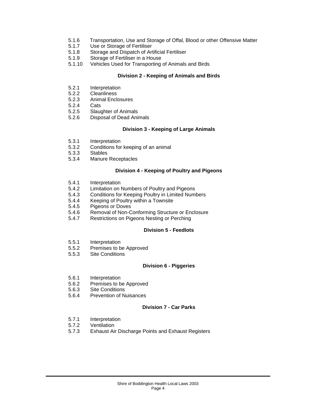- 5.1.6 Transportation, Use and Storage of Offal, Blood or other Offensive Matter<br>5.1.7 Use or Storage of Fertiliser
- 5.1.7 Use or Storage of Fertiliser<br>5.1.8 Storage and Dispatch of Art
- Storage and Dispatch of Artificial Fertiliser
- 5.1.9 Storage of Fertiliser in a House
- 5.1.10 Vehicles Used for Transporting of Animals and Birds

## **Division 2 - Keeping of Animals and Birds**

- 5.2.1 Interpretation
- 5.2.2 Cleanliness<br>5.2.3 Animal Encl
- Animal Enclosures<br>Cats
- $5.2.4$ <br> $5.2.5$
- 5.2.5 Slaughter of Animals<br>5.2.6 Disposal of Dead Ani
- Disposal of Dead Animals

## **Division 3 - Keeping of Large Animals**

- 5.3.1 Interpretation<br>5.3.2 Conditions for
- 5.3.2 Conditions for keeping of an animal<br>5.3.3 Stables
- 5.3.3 Stables
- Manure Receptacles

## **Division 4 - Keeping of Poultry and Pigeons**

- 5.4.1 Interpretation<br>5.4.2 Limitation on
- Limitation on Numbers of Poultry and Pigeons
- 5.4.3 Conditions for Keeping Poultry in Limited Numbers
- 5.4.4 Keeping of Poultry within a Townsite
- 5.4.5 Pigeons or Doves
- 5.4.6 Removal of Non-Conforming Structure or Enclosure
- 5.4.7 Restrictions on Pigeons Nesting or Perching

## **Division 5 - Feedlots**

- 5.5.1 Interpretation
- 5.5.2 Premises to be Approved
- 5.5.3 Site Conditions

#### **Division 6 - Piggeries**

- 5.6.1 Interpretation
- 5.6.2 Premises to be Approved
- 5.6.3 Site Conditions
- 5.6.4 Prevention of Nuisances

## **Division 7 - Car Parks**

- 5.7.1 Interpretation
- 5.7.2 Ventilation
- 5.7.3 Exhaust Air Discharge Points and Exhaust Registers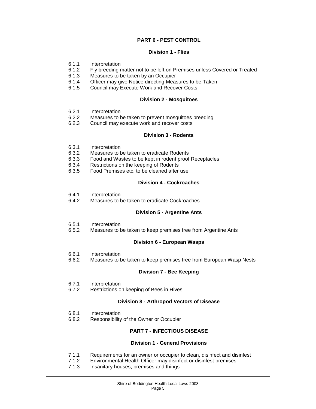## **PART 6 - PEST CONTROL**

## **Division 1 - Flies**

- 6.1.1 Interpretation<br>6.1.2 Fly breeding r
- Fly breeding matter not to be left on Premises unless Covered or Treated
- 6.1.3 Measures to be taken by an Occupier
- 6.1.4 Officer may give Notice directing Measures to be Taken<br>6.1.5 Council may Execute Work and Recover Costs
- 6.1.5 Council may Execute Work and Recover Costs

#### **Division 2 - Mosquitoes**

- 6.2.1 Interpretation<br>6.2.2 Measures to b
- 6.2.2 Measures to be taken to prevent mosquitoes breeding<br>6.2.3 Council may execute work and recover costs
- Council may execute work and recover costs

#### **Division 3 - Rodents**

- 6.3.1 Interpretation<br>6.3.2 Measures to b
- 6.3.2 Measures to be taken to eradicate Rodents<br>6.3.3 Food and Wastes to be kept in rodent proof
- 6.3.3 Food and Wastes to be kept in rodent proof Receptacles
- 6.3.4 Restrictions on the keeping of Rodents<br>6.3.5 Food Premises etc. to be cleaned after
- 6.3.5 Food Premises etc. to be cleaned after use

## **Division 4 - Cockroaches**

- 6.4.1 Interpretation
- 6.4.2 Measures to be taken to eradicate Cockroaches

#### **Division 5 - Argentine Ants**

- 6.5.1 Interpretation
- 6.5.2 Measures to be taken to keep premises free from Argentine Ants

## **Division 6 - European Wasps**

- 6.6.1 Interpretation<br>6.6.2 Measures to b
- Measures to be taken to keep premises free from European Wasp Nests

#### **Division 7 - Bee Keeping**

- 6.7.1 Interpretation
- 6.7.2 Restrictions on keeping of Bees in Hives

#### **Division 8 - Arthropod Vectors of Disease**

- 6.8.1 Interpretation
- 6.8.2 Responsibility of the Owner or Occupier

## **PART 7 - INFECTIOUS DISEASE**

#### **Division 1 - General Provisions**

- 7.1.1 Requirements for an owner or occupier to clean, disinfect and disinfest
- 7.1.2 Environmental Health Officer may disinfect or disinfest premises
- 7.1.3 Insanitary houses, premises and things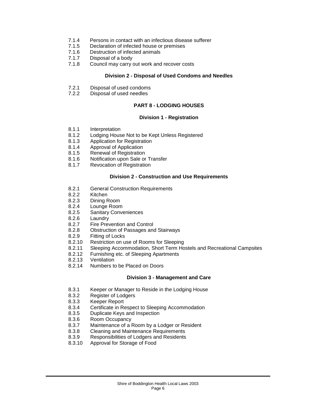- 7.1.4 Persons in contact with an infectious disease sufferer<br>7.1.5 Declaration of infected house or premises
- 7.1.5 Declaration of infected house or premises<br>7.1.6 Destruction of infected animals
- Destruction of infected animals
- 7.1.7 Disposal of a body
- 7.1.8 Council may carry out work and recover costs

#### **Division 2 - Disposal of Used Condoms and Needles**

- 7.2.1 Disposal of used condoms
- 7.2.2 Disposal of used needles

## **PART 8 - LODGING HOUSES**

## **Division 1 - Registration**

- 8.1.1 Interpretation<br>8.1.2 Lodging Hous
- 8.1.2 Lodging House Not to be Kept Unless Registered<br>8.1.3 Application for Registration
- Application for Registration
- 8.1.4 Approval of Application<br>8.1.5 Renewal of Registration
- 8.1.5 Renewal of Registration<br>8.1.6 Notification upon Sale or
- Notification upon Sale or Transfer
- 8.1.7 Revocation of Registration

## **Division 2 - Construction and Use Requirements**

- 8.2.1 General Construction Requirements
- 8.2.2 Kitchen
- 8.2.3 Dining Room
- 8.2.4 Lounge Room
- 8.2.5 Sanitary Conveniences
- 8.2.6 Laundry<br>8.2.7 Fire Prev
- Fire Prevention and Control
- 8.2.8 Obstruction of Passages and Stairways
- 
- 8.2.9 Fitting of Locks<br>8.2.10 Restriction on u Restriction on use of Rooms for Sleeping
- 8.2.11 Sleeping Accommodation, Short Term Hostels and Recreational Campsites
- 8.2.12 Furnishing etc. of Sleeping Apartments<br>8.2.13 Ventilation
- **Ventilation**
- 8.2.14 Numbers to be Placed on Doors

#### **Division 3 - Management and Care**

- 8.3.1 Keeper or Manager to Reside in the Lodging House
- 8.3.2 Register of Lodgers
- 8.3.3 Keeper Report
- 8.3.4 Certificate in Respect to Sleeping Accommodation
- 8.3.5 Duplicate Keys and Inspection
- 8.3.6 Room Occupancy
- 8.3.7 Maintenance of a Room by a Lodger or Resident
- 8.3.8 Cleaning and Maintenance Requirements
- 8.3.9 Responsibilities of Lodgers and Residents
- 8.3.10 Approval for Storage of Food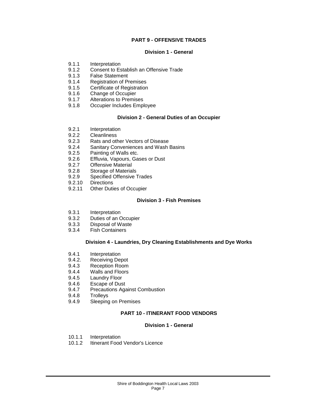## **PART 9 - OFFENSIVE TRADES**

#### **Division 1 - General**

- 9.1.1 Interpretation<br>9.1.2 Consent to Es
- 9.1.2 Consent to Establish an Offensive Trade
- 9.1.3 False Statement
- 9.1.4 Registration of Premises<br>9.1.5 Certificate of Registration
- **Certificate of Registration**
- 9.1.6 Change of Occupier<br>9.1.7 Alterations to Premis
- 9.1.7 Alterations to Premises<br>9.1.8 Occupier Includes Empl
- Occupier Includes Employee

## **Division 2 - General Duties of an Occupier**

- 9.2.1 Interpretation<br>9.2.2 Cleanliness
- 9.2.2 Cleanliness<br>9.2.3 Rats and oth
- 9.2.3 Rats and other Vectors of Disease
- 9.2.4 Sanitary Conveniences and Wash Basins<br>9.2.5 Painting of Walls etc
- 9.2.5 Painting of Walls etc.<br>9.2.6 Effluvia. Vapours. Ga
- Effluvia, Vapours, Gases or Dust
- 9.2.7 Offensive Material<br>9.2.8 Storage of Material
- 9.2.8 Storage of Materials<br>9.2.9 Specified Offensive
- Specified Offensive Trades
- 9.2.10 Directions<br>9.2.11 Other Duti
- Other Duties of Occupier

## **Division 3 - Fish Premises**

- 9.3.1 Interpretation
- 9.3.2 Duties of an Occupier<br>9.3.3 Disposal of Waste
- Disposal of Waste
- 9.3.4 Fish Containers

## **Division 4 - Laundries, Dry Cleaning Establishments and Dye Works**

- 9.4.1 Interpretation<br>9.4.2. Receiving De
- Receiving Depot
- 9.4.3 Reception Room
- 9.4.4 Walls and Floors
- 9.4.5 Laundry Floor
- 9.4.6 Escape of Dust
- 9.4.7 Precautions Against Combustion
- 9.4.8 Trolleys
- 9.4.9 Sleeping on Premises

## **PART 10 - ITINERANT FOOD VENDORS**

## **Division 1 - General**

- 10.1.1 Interpretation<br>10.1.2 Itinerant Food
- Itinerant Food Vendor's Licence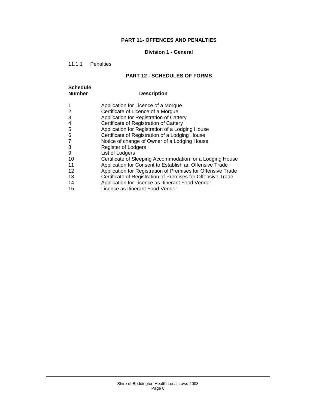## **PART 11- OFFENCES AND PENALTIES**

## **Division 1 - General**

## 11.1.1 Penalties

## **PART 12 - SCHEDULES OF FORMS**

| <b>Schedule</b><br><b>Number</b> | <b>Description</b>                                           |
|----------------------------------|--------------------------------------------------------------|
|                                  | Application for Licence of a Morgue                          |
| 2                                | Certificate of Licence of a Morgue                           |
| 3                                | Application for Registration of Cattery                      |
| 4                                | Certificate of Registration of Cattery                       |
| 5                                | Application for Registration of a Lodging House              |
| 6                                | Certificate of Registration of a Lodging House               |
|                                  | Notice of change of Owner of a Lodging House                 |
| 8                                | <b>Register of Lodgers</b>                                   |
| 9                                | List of Lodgers                                              |
| 10                               | Certificate of Sleeping Accommodation for a Lodging House    |
| 11                               | Application for Consent to Establish an Offensive Trade      |
| 12                               | Application for Registration of Premises for Offensive Trade |
| 13                               | Certificate of Registration of Premises for Offensive Trade  |
| 14                               | Application for Licence as Itinerant Food Vendor             |
| 15                               | Licence as Itinerant Food Vendor                             |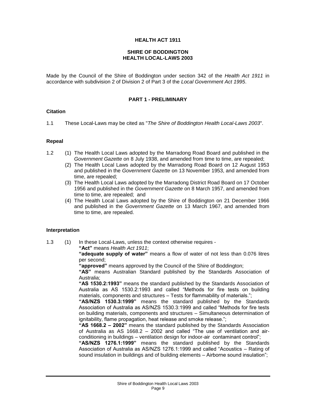## **HEALTH ACT 1911**

#### **SHIRE OF BODDINGTON HEALTH LOCAL-LAWS 2003**

Made by the Council of the Shire of Boddington under section 342 of the *Health Act 1911* in accordance with subdivision 2 of Division 2 of Part 3 of the *Local Government Act 1995*.

#### **PART 1 - PRELIMINARY**

## **Citation**

1.1 These Local-Laws may be cited as "*The Shire of Boddington Health Local-Laws 2003*".

#### **Repeal**

- 1.2 (1) The Health Local Laws adopted by the Marradong Road Board and published in the *Government Gazette* on 8 July 1938, and amended from time to time, are repealed;
	- (2) The Health Local Laws adopted by the Marradong Road Board on 12 August 1953 and published in the *Government Gazette* on 13 November 1953, and amended from time, are repealed;
	- (3) The Health Local Laws adopted by the Marradong District Road Board on 17 October 1956 and published in the *Government Gazette* on 8 March 1957, and amended from time to time, are repealed; and
	- (4) The Health Local Laws adopted by the Shire of Boddington on 21 December 1966 and published in the *Government Gazette* on 13 March 1967, and amended from time to time, are repealed.

#### **Interpretation**

1.3 (1) In these Local-Laws, unless the context otherwise requires -

**"Act"** means *Health Act 1911*;

**"adequate supply of water"** means a flow of water of not less than 0.076 litres per second;

**"approved"** means approved by the Council of the Shire of Boddington;

**"AS"** means Australian Standard published by the Standards Association of Australia;

**"AS 1530.2:1993"** means the standard published by the Standards Association of Australia as AS 1530.2:1993 and called "Methods for fire tests on building materials, components and structures – Tests for flammability of materials.";

**"AS/NZS 1530.3:1999"** means the standard published by the Standards Association of Australia as AS/NZS 1530.3:1999 and called "Methods for fire tests on building materials, components and structures – Simultaneous determination of ignitability, flame propagation, heat release and smoke release.";

**"AS 1668.2 – 2002"** means the standard published by the Standards Association of Australia as AS 1668.2 – 2002 and called "The use of ventilation and airconditioning in buildings – ventilation design for indoor-air contaminant control";

**"AS/NZS 1276.1:1999"** means the standard published by the Standards Association of Australia as AS/NZS 1276.1:1999 and called "Acoustics – Rating of sound insulation in buildings and of building elements – Airborne sound insulation";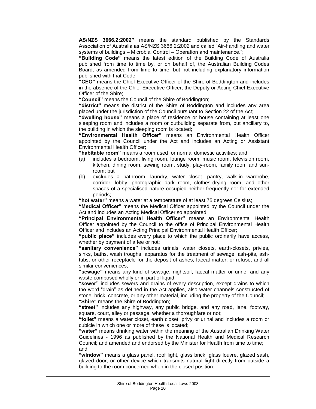**AS/NZS 3666.2:2002"** means the standard published by the Standards Association of Australia as AS/NZS 3666.2:2002 and called "Air-handling and water systems of buildings – Microbial Control – Operation and maintenance.";

**"Building Code"** means the latest edition of the Building Code of Australia published from time to time by, or on behalf of, the Australian Building Codes Board, as amended from time to time, but not including explanatory information published with that Code.

**"CEO"** means the Chief Executive Officer of the Shire of Boddington and includes in the absence of the Chief Executive Officer, the Deputy or Acting Chief Executive Officer of the Shire;

**"Council"** means the Council of the Shire of Boddington;

**"district"** means the district of the Shire of Boddington and includes any area placed under the jurisdiction of the Council pursuant to Section 22 of the Act;

**"dwelling house"** means a place of residence or house containing at least one sleeping room and includes a room or outbuilding separate from, but ancillary to, the building in which the sleeping room is located;

**"Environmental Health Officer"** means an Environmental Health Officer appointed by the Council under the Act and includes an Acting or Assistant Environmental Health Officer;

**"habitable room"** means a room used for normal domestic activities; and

- (a) includes a bedroom, living room, lounge room, music room, television room, kitchen, dining room, sewing room, study, play-room, family room and sunroom; but
- (b) excludes a bathroom, laundry, water closet, pantry, walk-in wardrobe, corridor, lobby, photographic dark room, clothes-drying room, and other spaces of a specialised nature occupied neither frequently nor for extended periods;

**"hot water"** means a water at a temperature of at least 75 degrees Celsius;

**"Medical Officer"** means the Medical Officer appointed by the Council under the Act and includes an Acting Medical Officer so appointed;

**"Principal Environmental Health Officer"** means an Environmental Health Officer appointed by the Council to the office of Principal Environmental Health Officer and includes an Acting Principal Environmental Health Officer;

**"public place"** includes every place to which the public ordinarily have access, whether by payment of a fee or not;

**"sanitary convenience"** includes urinals, water closets, earth-closets, privies, sinks, baths, wash troughs, apparatus for the treatment of sewage, ash-pits, ashtubs, or other receptacle for the deposit of ashes, faecal matter, or refuse, and all similar conveniences;

**"sewage"** means any kind of sewage, nightsoil, faecal matter or urine, and any waste composed wholly or in part of liquid;

**"sewer"** includes sewers and drains of every description, except drains to which the word "drain" as defined in the Act applies, also water channels constructed of stone, brick, concrete, or any other material, including the property of the Council;

**"Shire"** means the Shire of Boddington;

**"street"** includes any highway, any public bridge, and any road, lane, footway, square, court, alley or passage, whether a thoroughfare or not;

**"toilet"** means a water closet, earth closet, privy or urinal and includes a room or cubicle in which one or more of these is located;

**"water"** means drinking water within the meaning of the Australian Drinking Water Guidelines - 1996 as published by the National Health and Medical Research Council; and amended and endorsed by the Minister for Health from time to time; and

**"window"** means a glass panel, roof light, glass brick, glass louvre, glazed sash, glazed door, or other device which transmits natural light directly from outside a building to the room concerned when in the closed position.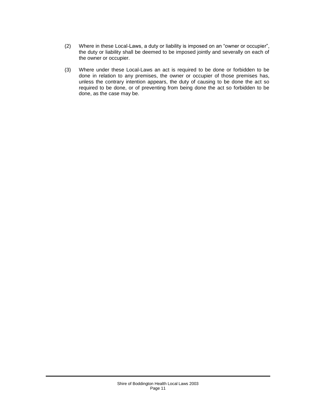- (2) Where in these Local-Laws, a duty or liability is imposed on an "owner or occupier", the duty or liability shall be deemed to be imposed jointly and severally on each of the owner or occupier.
- (3) Where under these Local-Laws an act is required to be done or forbidden to be done in relation to any premises, the owner or occupier of those premises has, unless the contrary intention appears, the duty of causing to be done the act so required to be done, or of preventing from being done the act so forbidden to be done, as the case may be.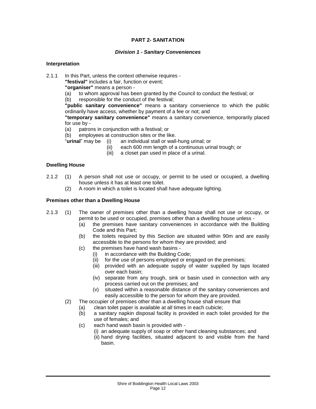## **PART 2- SANITATION**

## *Division 1 - Sanitary Conveniences*

## **Interpretation**

2.1.1 In this Part, unless the context otherwise requires -

**"festival"** includes a fair, function or event;

**"organiser"** means a person -

- (a) to whom approval has been granted by the Council to conduct the festival; or
- (b) responsible for the conduct of the festival;

**"public sanitary convenience"** means a sanitary convenience to which the public ordinarily have access, whether by payment of a fee or not; and

**"temporary sanitary convenience"** means a sanitary convenience, temporarily placed for use by -

(a) patrons in conjunction with a festival; or

(b) employees at construction sites or the like.<br>"**urinal**" may be (i) an individual stall or wall-

an individual stall or wall-hung urinal; or

- (ii) each 600 mm length of a continuous urinal trough; or
- (iii) a closet pan used in place of a urinal.

## **Dwelling House**

- 2.1.2 (1) A person shall not use or occupy, or permit to be used or occupied, a dwelling house unless it has at least one toilet.
	- (2) A room in which a toilet is located shall have adequate lighting.

## **Premises other than a Dwelling House**

- 2.1.3 (1) The owner of premises other than a dwelling house shall not use or occupy, or permit to be used or occupied, premises other than a dwelling house unless -
	- (a) the premises have sanitary conveniences in accordance with the Building Code and this Part;
	- (b) the toilets required by this Section are situated within 90m and are easily accessible to the persons for whom they are provided; and
	- (c) the premises have hand wash basins
		- (i) in accordance with the Building Code;
		- (ii) for the use of persons employed or engaged on the premises;
		- (iii) provided with an adequate supply of water supplied by taps located over each basin;
		- (iv) separate from any trough, sink or basin used in connection with any process carried out on the premises; and
		- (v) situated within a reasonable distance of the sanitary conveniences and easily accessible to the person for whom they are provided.
	- (2) The occupier of premises other than a dwelling house shall ensure that
		- (a) clean toilet paper is available at all times in each cubicle;
		- (b) a sanitary napkin disposal facility is provided in each toilet provided for the use of females; and
		- (c) each hand wash basin is provided with
			- (i) an adequate supply of soap or other hand cleaning substances; and
			- (ii) hand drying facilities, situated adjacent to and visible from the hand basin.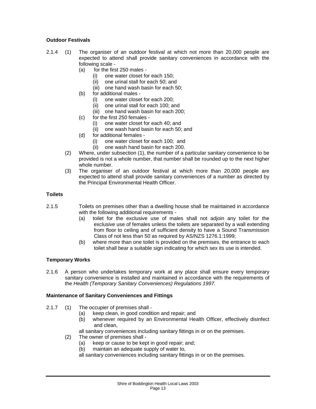## **Outdoor Festivals**

- 2.1.4 (1) The organiser of an outdoor festival at which not more than 20,000 people are expected to attend shall provide sanitary conveniences in accordance with the following scale -
	- (a) for the first 250 males
		- (i) one water closet for each 150;
		- (ii) one urinal stall for each 50; and
		- (iii) one hand wash basin for each 50;
	- (b) for additional males
		- (i) one water closet for each 200;
		- (ii) one urinal stall for each 100; and
		- (iii) one hand wash basin for each 200;
	- (c) for the first 250 females
		- (i) one water closet for each 40; and
		- (ii) one wash hand basin for each 50; and
	- (d) for additional females
		- (i) one water closet for each 100; and
		- (ii) one wash hand basin for each 200.
	- (2) Where, under subsection (1), the number of a particular sanitary convenience to be provided is not a whole number, that number shall be rounded up to the next higher whole number.
	- (3) The organiser of an outdoor festival at which more than 20,000 people are expected to attend shall provide sanitary conveniences of a number as directed by the Principal Environmental Health Officer.

## **Toilets**

- 2.1.5 Toilets on premises other than a dwelling house shall be maintained in accordance with the following additional requirements -
	- (a) toilet for the exclusive use of males shall not adjoin any toilet for the exclusive use of females unless the toilets are separated by a wall extending from floor to ceiling and of sufficient density to have a Sound Transmission Class of not less than 50 as required by AS/NZS 1276.1:1999;
	- (b) where more than one toilet is provided on the premises, the entrance to each toilet shall bear a suitable sign indicating for which sex its use is intended.

#### **Temporary Works**

2.1.6 A person who undertakes temporary work at any place shall ensure every temporary sanitary convenience is installed and maintained in accordance with the requirements of the *Health (Temporary Sanitary Conveniences) Regulations 1997.*

#### **Maintenance of Sanitary Conveniences and Fittings**

- 2.1.7 (1) The occupier of premises shall
	- (a) keep clean, in good condition and repair; and
	- (b) whenever required by an Environmental Health Officer, effectively disinfect and clean,
	- all sanitary conveniences including sanitary fittings in or on the premises.
	- (2) The owner of premises shall
		- (a) keep or cause to be kept in good repair; and;
		- (b) maintain an adequate supply of water to,
		- all sanitary conveniences including sanitary fittings in or on the premises.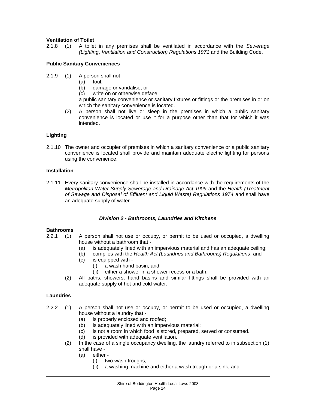## **Ventilation of Toilet**

2.1.8 (1) A toilet in any premises shall be ventilated in accordance with the *Sewerage (Lighting*, *Ventilation and Construction) Regulations 1971* and the Building Code.

## **Public Sanitary Conveniences**

- 2.1.9 (1) A person shall not
	- (a) foul;
	- (b) damage or vandalise; or
	- (c) write on or otherwise deface,

a public sanitary convenience or sanitary fixtures or fittings or the premises in or on which the sanitary convenience is located.

(2) A person shall not live or sleep in the premises in which a public sanitary convenience is located or use it for a purpose other than that for which it was intended.

## **Lighting**

2.1.10 The owner and occupier of premises in which a sanitary convenience or a public sanitary convenience is located shall provide and maintain adequate electric lighting for persons using the convenience.

#### **Installation**

2.1.11 Every sanitary convenience shall be installed in accordance with the requirements of the *Metropolitan Water Supply Sewerage and Drainage Act 1909* and the *Health (Treatment of Sewage and Disposal of Effluent and Liquid Waste) Regulations 1974* and shall have an adequate supply of water.

#### *Division 2 - Bathrooms, Laundries and Kitchens*

## **Bathrooms**

- 2.2.1 (1) A person shall not use or occupy, or permit to be used or occupied, a dwelling house without a bathroom that -
	- (a) is adequately lined with an impervious material and has an adequate ceiling;
	- (b) complies with the *Health Act (Laundries and Bathrooms) Regulations*; and
	- (c) is equipped with
		- (i) a wash hand basin; and
		- (ii) either a shower in a shower recess or a bath.
	- (2) All baths, showers, hand basins and similar fittings shall be provided with an adequate supply of hot and cold water.

#### **Laundries**

- 2.2.2 (1) A person shall not use or occupy, or permit to be used or occupied, a dwelling house without a laundry that -
	- (a) is properly enclosed and roofed;
	- (b) is adequately lined with an impervious material;
	- (c) is not a room in which food is stored, prepared, served or consumed.
	- (d) is provided with adequate ventilation.
	- (2) In the case of a single occupancy dwelling, the laundry referred to in subsection (1) shall have -
		- (a) either
			- (i) two wash troughs;
			- (ii) a washing machine and either a wash trough or a sink; and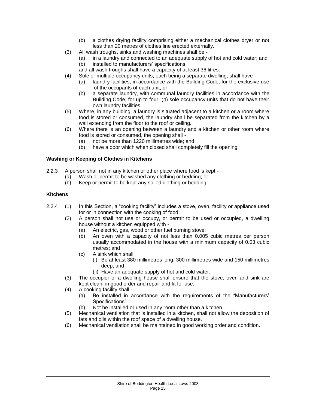- (b) a clothes drying facility comprising either a mechanical clothes dryer or not less than 20 metres of clothes line erected externally.
- (3) All wash troughs, sinks and washing machines shall be
	- (a) in a laundry and connected to an adequate supply of hot and cold water; and
	- (b) installed to manufacturers' specifications,
	- and all wash troughs shall have a capacity of at least 36 litres.
- (4) Sole or multiple occupancy units, each being a separate dwelling, shall have
	- (a) laundry facilities, in accordance with the Building Code, for the exclusive use of the occupants of each unit; or
	- (b) a separate laundry, with communal laundry facilities in accordance with the Building Code, for up to four (4) sole occupancy units that do not have their own laundry facilities.
- (5) Where, in any building, a laundry is situated adjacent to a kitchen or a room where food is stored or consumed, the laundry shall be separated from the kitchen by a wall extending from the floor to the roof or ceiling.
- (6) Where there is an opening between a laundry and a kitchen or other room where food is stored or consumed, the opening shall -
	- (a) not be more than 1220 millimetres wide; and
	- (b) have a door which when closed shall completely fill the opening.

## **Washing or Keeping of Clothes in Kitchens**

- 2.2.3 A person shall not in any kitchen or other place where food is kept
	- (a) Wash or permit to be washed any clothing or bedding; or
	- (b) Keep or permit to be kept any soiled clothing or bedding.

## **Kitchens**

- 2.2.4 (1) In this Section, a "cooking facility" includes a stove, oven, facility or appliance used for or in connection with the cooking of food.
	- (2) A person shall not use or occupy, or permit to be used or occupied, a dwelling house without a kitchen equipped with -
		- (a) An electric, gas, wood or other fuel burning stove;
		- (b) An oven with a capacity of not less than 0.005 cubic metres per person usually accommodated in the house with a minimum capacity of 0.03 cubic metres; and
		- (c) A sink which shall
			- (i) Be at least 380 millimetres long, 300 millimetres wide and 150 millimetres deep; and
				- (ii) Have an adequate supply of hot and cold water.
	- (3) The occupier of a dwelling house shall ensure that the stove, oven and sink are kept clean, in good order and repair and fit for use.
	- (4) A cooking facility shall
		- (a) Be installed in accordance with the requirements of the "Manufacturers' Specifications":
		- (b) Not be installed or used in any room other than a kitchen.
	- (5) Mechanical ventilation that is installed in a kitchen, shall not allow the deposition of fats and oils within the roof space of a dwelling house.
	- (6) Mechanical ventilation shall be maintained in good working order and condition.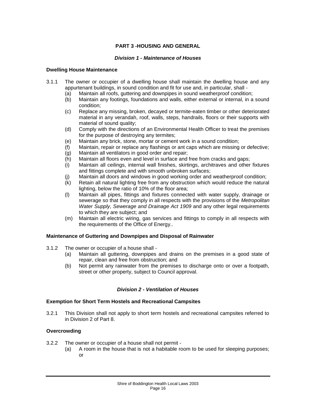## **PART 3 -HOUSING AND GENERAL**

## *Division 1 - Maintenance of Houses*

## **Dwelling House Maintenance**

- 3.1.1 The owner or occupier of a dwelling house shall maintain the dwelling house and any appurtenant buildings, in sound condition and fit for use and, in particular, shall -
	-
	- (a) Maintain all roofs, guttering and downpipes in sound weatherproof condition;<br>(b) Maintain any footings, foundations and walls, either external or internal, in a Maintain any footings, foundations and walls, either external or internal, in a sound condition;
	- (c) Replace any missing, broken, decayed or termite-eaten timber or other deteriorated material in any verandah, roof, walls, steps, handrails, floors or their supports with material of sound quality;
	- (d) Comply with the directions of an Environmental Health Officer to treat the premises for the purpose of destroying any termites;
	- (e) Maintain any brick, stone, mortar or cement work in a sound condition;
	- (f) Maintain, repair or replace any flashings or ant caps which are missing or defective;
	- (g) Maintain all ventilators in good order and repair;
	- (h) Maintain all floors even and level in surface and free from cracks and gaps;
	- (i) Maintain all ceilings, internal wall finishes, skirtings, architraves and other fixtures and fittings complete and with smooth unbroken surfaces;
	- (j) Maintain all doors and windows in good working order and weatherproof condition;
	- (k) Retain all natural lighting free from any obstruction which would reduce the natural lighting, below the ratio of 10% of the floor area;
	- (l) Maintain all pipes, fittings and fixtures connected with water supply, drainage or sewerage so that they comply in all respects with the provisions of the *Metropolitan Water Supply, Sewerage and Drainage Act 1909* and any other legal requirements to which they are subject; and
	- (m) Maintain all electric wiring, gas services and fittings to comply in all respects with the requirements of the Office of Energy..

## **Maintenance of Guttering and Downpipes and Disposal of Rainwater**

- 3.1.2 The owner or occupier of a house shall
	- (a) Maintain all guttering, downpipes and drains on the premises in a good state of repair, clean and free from obstruction; and
	- (b) Not permit any rainwater from the premises to discharge onto or over a footpath, street or other property, subject to Council approval.

## *Division 2 - Ventilation of Houses*

#### **Exemption for Short Term Hostels and Recreational Campsites**

3.2.1 This Division shall not apply to short term hostels and recreational campsites referred to in Division 2 of Part 8.

## **Overcrowding**

- 3.2.2 The owner or occupier of a house shall not permit
	- (a) A room in the house that is not a habitable room to be used for sleeping purposes; or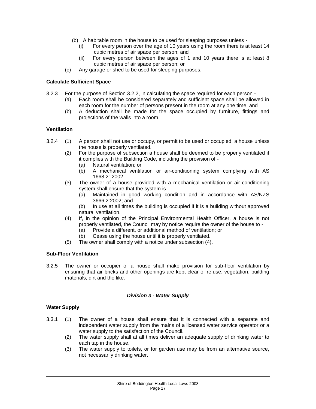- (b) A habitable room in the house to be used for sleeping purposes unless
	- For every person over the age of 10 years using the room there is at least 14 cubic metres of air space per person; and
	- (ii) For every person between the ages of 1 and 10 years there is at least 8 cubic metres of air space per person; or
- (c) Any garage or shed to be used for sleeping purposes.

## **Calculate Sufficient Space**

- 3.2.3 For the purpose of Section 3.2.2, in calculating the space required for each person (a) Each room shall be considered separately and sufficient space shall be allowed in
	- each room for the number of persons present in the room at any one time; and (b) A deduction shall be made for the space occupied by furniture, fittings and projections of the walls into a room.

## **Ventilation**

- 3.2.4 (1) A person shall not use or occupy, or permit to be used or occupied, a house unless the house is properly ventilated.
	- (2) For the purpose of subsection a house shall be deemed to be properly ventilated if it complies with the Building Code, including the provision of -
		- (a) Natural ventilation; or
		- (b) A mechanical ventilation or air-conditioning system complying with AS 1668.2:-2002.
	- (3) The owner of a house provided with a mechanical ventilation or air-conditioning system shall ensure that the system is -
		- (a) Maintained in good working condition and in accordance with AS/NZS 3666.2:2002; and
		- (b) In use at all times the building is occupied if it is a building without approved natural ventilation.
	- (4) If, in the opinion of the Principal Environmental Health Officer, a house is not properly ventilated, the Council may by notice require the owner of the house to -
		- (a) Provide a different, or additional method of ventilation; or
		- (b) Cease using the house until it is properly ventilated.
	- (5) The owner shall comply with a notice under subsection (4).

#### **Sub-Floor Ventilation**

3.2.5 The owner or occupier of a house shall make provision for sub-floor ventilation by ensuring that air bricks and other openings are kept clear of refuse, vegetation, building materials, dirt and the like.

#### *Division 3 - Water Supply*

#### **Water Supply**

- 3.3.1 (1) The owner of a house shall ensure that it is connected with a separate and independent water supply from the mains of a licensed water service operator or a water supply to the satisfaction of the Council.
	- (2) The water supply shall at all times deliver an adequate supply of drinking water to each tap in the house.
	- (3) The water supply to toilets, or for garden use may be from an alternative source, not necessarily drinking water.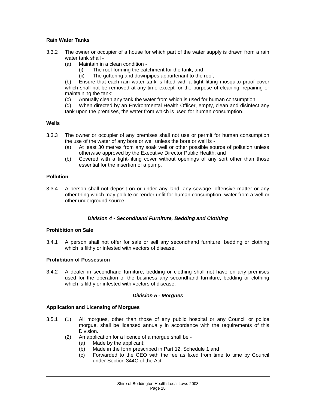## **Rain Water Tanks**

- 3.3.2 The owner or occupier of a house for which part of the water supply is drawn from a rain water tank shall -
	- (a) Maintain in a clean condition
		- (i) The roof forming the catchment for the tank; and
		- (ii) The guttering and downpipes appurtenant to the roof;

(b) Ensure that each rain water tank is fitted with a tight fitting mosquito proof cover which shall not be removed at any time except for the purpose of cleaning, repairing or maintaining the tank;

(c) Annually clean any tank the water from which is used for human consumption;<br>(d) When directed by an Environmental Health Officer, empty, clean and disinfect

When directed by an Environmental Health Officer, empty, clean and disinfect any tank upon the premises, the water from which is used for human consumption.

## **Wells**

- 3.3.3 The owner or occupier of any premises shall not use or permit for human consumption the use of the water of any bore or well unless the bore or well is -
	- (a) At least 30 metres from any soak well or other possible source of pollution unless otherwise approved by the Executive Director Public Health; and
	- (b) Covered with a tight-fitting cover without openings of any sort other than those essential for the insertion of a pump.

## **Pollution**

3.3.4 A person shall not deposit on or under any land, any sewage, offensive matter or any other thing which may pollute or render unfit for human consumption, water from a well or other underground source.

## *Division 4 - Secondhand Furniture, Bedding and Clothing*

## **Prohibition on Sale**

3.4.1 A person shall not offer for sale or sell any secondhand furniture, bedding or clothing which is filthy or infested with vectors of disease.

## **Prohibition of Possession**

3.4.2 A dealer in secondhand furniture, bedding or clothing shall not have on any premises used for the operation of the business any secondhand furniture, bedding or clothing which is filthy or infested with vectors of disease.

## *Division 5 - Morgues*

## **Application and Licensing of Morgues**

- 3.5.1 (1) All morgues, other than those of any public hospital or any Council or police morgue, shall be licensed annually in accordance with the requirements of this Division.
	- (2) An application for a licence of a morgue shall be
		- (a) Made by the applicant;
		- (b) Made in the form prescribed in Part 12, Schedule 1 and
		- (c) Forwarded to the CEO with the fee as fixed from time to time by Council under Section 344C of the Act.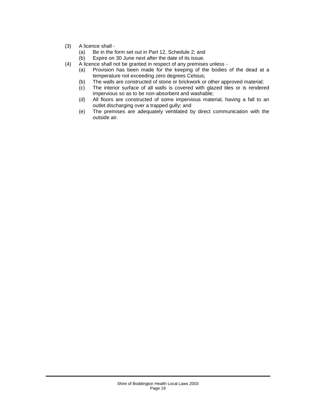- (3) A licence shall -<br>(a) Be in the f
	- Be in the form set out in Part 12, Schedule 2; and
	- (b) Expire on 30 June next after the date of its issue.
- (4) A licence shall not be granted in respect of any premises unless
	- (a) Provision has been made for the keeping of the bodies of the dead at a temperature not exceeding zero degrees Celsius;
	- (b) The walls are constructed of stone or brickwork or other approved material;
	- (c) The interior surface of all walls is covered with glazed tiles or is rendered impervious so as to be non-absorbent and washable;
	- (d) All floors are constructed of some impervious material, having a fall to an outlet discharging over a trapped gully; and
	- (e) The premises are adequately ventilated by direct communication with the outside air.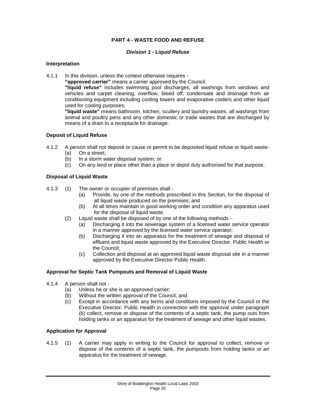## **PART 4 - WASTE FOOD AND REFUSE**

#### *Division 1 - Liquid Refuse*

#### **Interpretation**

4.1.1 In this division, unless the context otherwise requires -

**"approved carrier"** means a carrier approved by the Council.

**"liquid refuse"** includes swimming pool discharges, all washings from windows and vehicles and carpet cleaning, overflow, bleed off, condensate and drainage from air conditioning equipment including cooling towers and evaporative coolers and other liquid used for cooling purposes;

**"liquid waste"** means bathroom, kitchen, scullery and laundry wastes, all washings from animal and poultry pens and any other domestic or trade wastes that are discharged by means of a drain to a receptacle for drainage.

## **Deposit of Liquid Refuse**

- 4.1.2 A person shall not deposit or cause or permit to be deposited liquid refuse or liquid waste-
	- (a) On a street;<br>(b) In a storm w
	- In a storm water disposal system; or
	- (c) On any land or place other than a place or depot duly authorised for that purpose.

## **Disposal of Liquid Waste**

- 4.1.3 (1) The owner or occupier of premises shall
	- (a) Provide, by one of the methods prescribed in this Section, for the disposal of all liquid waste produced on the premises; and
	- (b) At all times maintain in good working order and condition any apparatus used for the disposal of liquid waste.
	- (2) Liquid waste shall be disposed of by one of the following methods
		- (a) Discharging it into the sewerage system of a licensed water service operator in a manner approved by the licensed water service operator;
		- (b) Discharging it into an apparatus for the treatment of sewage and disposal of effluent and liquid waste approved by the Executive Director, Public Health or the Council;
		- (c) Collection and disposal at an approved liquid waste disposal site in a manner approved by the Executive Director Public Health.

## **Approval for Septic Tank Pumpouts and Removal of Liquid Waste**

- 4.1.4 A person shall not
	- (a) Unless he or she is an approved carrier;
	- (b) Without the written approval of the Council; and
	- (c) Except in accordance with any terms and conditions imposed by the Council or the Executive Director, Public Health in connection with the approval under paragraph (b) collect, remove or dispose of the contents of a septic tank, the pump outs from holding tanks or an apparatus for the treatment of sewage and other liquid wastes.

## **Application for Approval**

4.1.5 (1) A carrier may apply in writing to the Council for approval to collect, remove or dispose of the contents of a septic tank, the pumpouts from holding tanks or an apparatus for the treatment of sewage.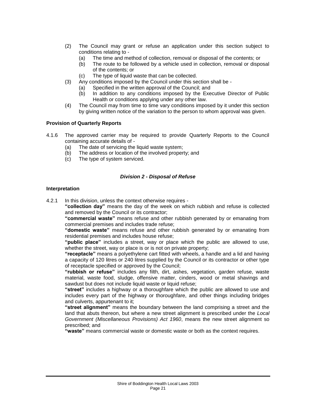- (2) The Council may grant or refuse an application under this section subject to conditions relating to -
	- (a) The time and method of collection, removal or disposal of the contents; or
	- (b) The route to be followed by a vehicle used in collection, removal or disposal of the contents; or
	- (c) The type of liquid waste that can be collected.
- (3) Any conditions imposed by the Council under this section shall be
	- (a) Specified in the written approval of the Council; and
	- (b) In addition to any conditions imposed by the Executive Director of Public Health or conditions applying under any other law.
- (4) The Council may from time to time vary conditions imposed by it under this section by giving written notice of the variation to the person to whom approval was given.

#### **Provision of Quarterly Reports**

- 4.1.6 The approved carrier may be required to provide Quarterly Reports to the Council containing accurate details of -
	- (a) The date of servicing the liquid waste system:
	- (b) The address or location of the involved property; and (c) The type of system serviced.
	- The type of system serviced.

## *Division 2 - Disposal of Refuse*

## **Interpretation**

4.2.1 In this division, unless the context otherwise requires -

**"collection day"** means the day of the week on which rubbish and refuse is collected and removed by the Council or its contractor;

**"commercial waste"** means refuse and other rubbish generated by or emanating from commercial premises and includes trade refuse;

**"domestic waste"** means refuse and other rubbish generated by or emanating from residential premises and includes house refuse;

**"public place"** includes a street, way or place which the public are allowed to use, whether the street, way or place is or is not on private property:

**"receptacle"** means a polyethylene cart fitted with wheels, a handle and a lid and having a capacity of 120 litres or 240 litres supplied by the Council or its contractor or other type of receptacle specified or approved by the Council;

**"rubbish or refuse"** includes any filth, dirt, ashes, vegetation, garden refuse, waste material, waste food, sludge, offensive matter, cinders, wood or metal shavings and sawdust but does not include liquid waste or liquid refuse;

**"street"** includes a highway or a thoroughfare which the public are allowed to use and includes every part of the highway or thoroughfare, and other things including bridges and culverts, appurtenant to it;

**"street alignment"** means the boundary between the land comprising a street and the land that abuts thereon, but where a new street alignment is prescribed under the *Local Government (Miscellaneous Provisions) Act 1960*, means the new street alignment so prescribed; and

**"waste"** means commercial waste or domestic waste or both as the context requires.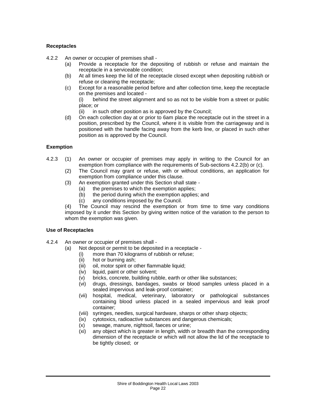## **Receptacles**

4.2.2 An owner or occupier of premises shall -

- (a) Provide a receptacle for the depositing of rubbish or refuse and maintain the receptacle in a serviceable condition;
- (b) At all times keep the lid of the receptacle closed except when depositing rubbish or refuse or cleaning the receptacle;
- (c) Except for a reasonable period before and after collection time, keep the receptacle on the premises and located -

(i) behind the street alignment and so as not to be visible from a street or public place; or

(ii) in such other position as is approved by the Council;

(d) On each collection day at or prior to 6am place the receptacle out in the street in a position, prescribed by the Council, where it is visible from the carriageway and is positioned with the handle facing away from the kerb line, or placed in such other position as is approved by the Council.

## **Exemption**

- 4.2.3 (1) An owner or occupier of premises may apply in writing to the Council for an exemption from compliance with the requirements of Sub-sections 4.2.2(b) or (c).
	- (2) The Council may grant or refuse, with or without conditions, an application for exemption from compliance under this clause.
	- (3) An exemption granted under this Section shall state
		- (a) the premises to which the exemption applies;
		- (b) the period during which the exemption applies; and
		- (c) any conditions imposed by the Council.

(4) The Council may rescind the exemption or from time to time vary conditions imposed by it under this Section by giving written notice of the variation to the person to whom the exemption was given.

#### **Use of Receptacles**

- 4.2.4 An owner or occupier of premises shall
	- (a) Not deposit or permit to be deposited in a receptacle
		- (i) more than 70 kilograms of rubbish or refuse;
		- (ii) hot or burning ash;
		- (iii) oil, motor spirit or other flammable liquid;
		- (iv) liquid, paint or other solvent;
		- (v) bricks, concrete, building rubble, earth or other like substances;
		- (vi) drugs, dressings, bandages, swabs or blood samples unless placed in a sealed impervious and leak-proof container;
		- (vii) hospital, medical, veterinary, laboratory or pathological substances containing blood unless placed in a sealed impervious and leak proof container;
		- (viii) syringes, needles, surgical hardware, sharps or other sharp objects;
		- (ix) cytotoxics, radioactive substances and dangerous chemicals;
		- (x) sewage, manure, nightsoil, faeces or urine;
		- (xi) any object which is greater in length, width or breadth than the corresponding dimension of the receptacle or which will not allow the lid of the receptacle to be tightly closed; or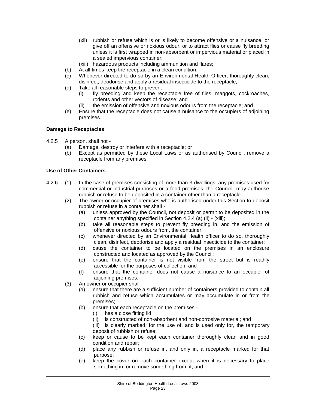- (xii) rubbish or refuse which is or is likely to become offensive or a nuisance, or give off an offensive or noxious odour, or to attract flies or cause fly breeding unless it is first wrapped in non-absorbent or impervious material or placed in a sealed impervious container;
- (xiii) hazardous products including ammunition and flares;
- (b) At all times keep the receptacle in a clean condition;
- (c) Whenever directed to do so by an Environmental Health Officer, thoroughly clean, disinfect, deodorise and apply a residual insecticide to the receptacle;
- (d) Take all reasonable steps to prevent
	- (i) fly breeding and keep the receptacle free of flies, maggots, cockroaches, rodents and other vectors of disease; and
	- (ii) the emission of offensive and noxious odours from the receptacle; and
- (e) Ensure that the receptacle does not cause a nuisance to the occupiers of adjoining premises.

## **Damage to Receptacles**

- 4.2.5 A person, shall not
	- (a) Damage, destroy or interfere with a receptacle; or
	- (b) Except as permitted by these Local Laws or as authorised by Council, remove a receptacle from any premises.

#### **Use of Other Containers**

- 4.2.6 (1) In the case of premises consisting of more than 3 dwellings, any premises used for commercial or industrial purposes or a food premises, the Council may authorise rubbish or refuse to be deposited in a container other than a receptacle.
	- (2) The owner or occupier of premises who is authorised under this Section to deposit rubbish or refuse in a container shall -
		- (a) unless approved by the Council, not deposit or permit to be deposited in the container anything specified in Section 4.2.4 (a) (ii) - (xiii);
		- (b) take all reasonable steps to prevent fly breeding in, and the emission of offensive or noxious odours from, the container;
		- (c) whenever directed by an Environmental Health officer to do so, thoroughly clean, disinfect, deodorise and apply a residual insecticide to the container;
		- (d) cause the container to be located on the premises in an enclosure constructed and located as approved by the Council;
		- (e) ensure that the container is not visible from the street but is readily accessible for the purposes of collection; and
		- (f) ensure that the container does not cause a nuisance to an occupier of adjoining premises.
	- (3) An owner or occupier shall
		- (a) ensure that there are a sufficient number of containers provided to contain all rubbish and refuse which accumulates or may accumulate in or from the premises;
		- (b) ensure that each receptacle on the premises
			- (i) has a close fitting lid;
			- (ii) is constructed of non-absorbent and non-corrosive material; and

(iii) is clearly marked, for the use of, and is used only for, the temporary deposit of rubbish or refuse;

- (c) keep or cause to be kept each container thoroughly clean and in good condition and repair;
- (d) place any rubbish or refuse in, and only in, a receptacle marked for that purpose;
- (e) keep the cover on each container except when it is necessary to place something in, or remove something from, it; and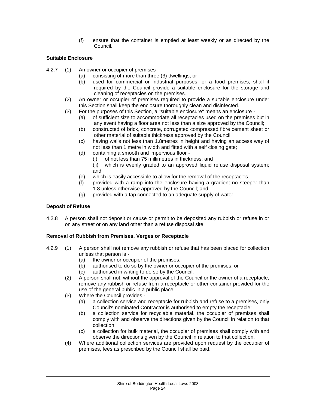(f) ensure that the container is emptied at least weekly or as directed by the Council.

## **Suitable Enclosure**

- 4.2.7 (1) An owner or occupier of premises
	- (a) consisting of more than three (3) dwellings; or
	- (b) used for commercial or industrial purposes; or a food premises; shall if required by the Council provide a suitable enclosure for the storage and cleaning of receptacles on the premises.
	- (2) An owner or occupier of premises required to provide a suitable enclosure under this Section shall keep the enclosure thoroughly clean and disinfected.
	- (3) For the purposes of this Section, a "suitable enclosure" means an enclosure
		- (a) of sufficient size to accommodate all receptacles used on the premises but in any event having a floor area not less than a size approved by the Council;
		- (b) constructed of brick, concrete, corrugated compressed fibre cement sheet or other material of suitable thickness approved by the Council;
		- (c) having walls not less than 1.8metres in height and having an access way of not less than 1 metre in width and fitted with a self closing gate:
		- (d) containing a smooth and impervious floor
			- (i) of not less than 75 millimetres in thickness; and
			- (ii) which is evenly graded to an approved liquid refuse disposal system; and
		- (e) which is easily accessible to allow for the removal of the receptacles.
		- (f) provided with a ramp into the enclosure having a gradient no steeper than 1.8 unless otherwise approved by the Council; and
		- (g) provided with a tap connected to an adequate supply of water.

## **Deposit of Refuse**

4.2.8 A person shall not deposit or cause or permit to be deposited any rubbish or refuse in or on any street or on any land other than a refuse disposal site.

## **Removal of Rubbish from Premises, Verges or Receptacle**

- 4.2.9 (1) A person shall not remove any rubbish or refuse that has been placed for collection unless that person is -
	- (a) the owner or occupier of the premises;
	- (b) authorised to do so by the owner or occupier of the premises; or
	- (c) authorised in writing to do so by the Council.
	- (2) A person shall not, without the approval of the Council or the owner of a receptacle, remove any rubbish or refuse from a receptacle or other container provided for the use of the general public in a public place.
	- (3) Where the Council provides
		- (a) a collection service and receptacle for rubbish and refuse to a premises, only Council's nominated Contractor is authorised to empty the receptacle;
		- (b) a collection service for recyclable material, the occupier of premises shall comply with and observe the directions given by the Council in relation to that collection;
		- (c) a collection for bulk material, the occupier of premises shall comply with and observe the directions given by the Council in relation to that collection.
	- (4) Where additional collection services are provided upon request by the occupier of premises, fees as prescribed by the Council shall be paid.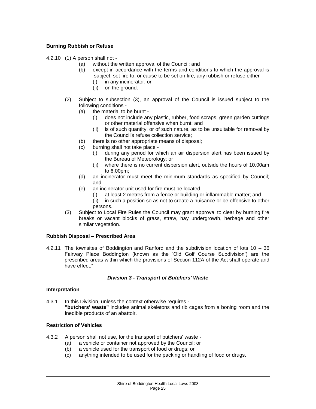## **Burning Rubbish or Refuse**

4.2.10 (1) A person shall not -

- (a) without the written approval of the Council; and
- (b) except in accordance with the terms and conditions to which the approval is subject, set fire to, or cause to be set on fire, any rubbish or refuse either -
	- (i) in any incinerator; or
	- (ii) on the ground.
- (2) Subject to subsection (3), an approval of the Council is issued subject to the following conditions -
	- (a) the material to be burnt
		- (i) does not include any plastic, rubber, food scraps, green garden cuttings or other material offensive when burnt; and
		- (ii) is of such quantity, or of such nature, as to be unsuitable for removal by the Council's refuse collection service;
	- (b) there is no other appropriate means of disposal;
	- (c) burning shall not take place
		- (i) during any period for which an air dispersion alert has been issued by the Bureau of Meteorology; or
		- (ii) where there is no current dispersion alert, outside the hours of 10.00am to 6.00pm;
	- (d) an incinerator must meet the minimum standards as specified by Council; and
	- (e) an incinerator unit used for fire must be located
		- (i) at least 2 metres from a fence or building or inflammable matter; and
		- (ii) in such a position so as not to create a nuisance or be offensive to other persons.
- (3) Subject to Local Fire Rules the Council may grant approval to clear by burning fire breaks or vacant blocks of grass, straw, hay undergrowth, herbage and other similar vegetation.

## **Rubbish Disposal – Prescribed Area**

4.2.11 The townsites of Boddington and Ranford and the subdivision location of lots 10 – 36 Fairway Place Boddington (known as the 'Old Golf Course Subdivision') are the prescribed areas within which the provisions of Section 112A of the Act shall operate and have effect."

## *Division 3 - Transport of Butchers' Waste*

#### **Interpretation**

4.3.1 In this Division, unless the context otherwise requires - **"butchers' waste"** includes animal skeletons and rib cages from a boning room and the inedible products of an abattoir.

#### **Restriction of Vehicles**

- 4.3.2 A person shall not use, for the transport of butchers' waste
	- (a) a vehicle or container not approved by the Council; or
	- (b) a vehicle used for the transport of food or drugs; or
	- (c) anything intended to be used for the packing or handling of food or drugs.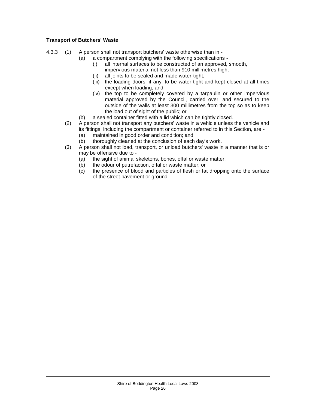## **Transport of Butchers' Waste**

- 4.3.3 (1) A person shall not transport butchers' waste otherwise than in
	- (a) a compartment complying with the following specifications
		- (i) all internal surfaces to be constructed of an approved, smooth, impervious material not less than 910 millimetres high;
		- (ii) all joints to be sealed and made water-tight;
		- (iii) the loading doors, if any, to be water-tight and kept closed at all times except when loading; and
		- (iv) the top to be completely covered by a tarpaulin or other impervious material approved by the Council, carried over, and secured to the outside of the walls at least 300 millimetres from the top so as to keep the load out of sight of the public; or
	- (b) a sealed container fitted with a lid which can be tightly closed.
	- (2) A person shall not transport any butchers' waste in a vehicle unless the vehicle and its fittings, including the compartment or container referred to in this Section, are -
		- (a) maintained in good order and condition; and<br>(b) thoroughly cleaned at the conclusion of each
		- thoroughly cleaned at the conclusion of each day's work.
	- (3) A person shall not load, transport, or unload butchers' waste in a manner that is or may be offensive due to -
		- (a) the sight of animal skeletons, bones, offal or waste matter;
		- (b) the odour of putrefaction, offal or waste matter; or
		- (c) the presence of blood and particles of flesh or fat dropping onto the surface of the street pavement or ground.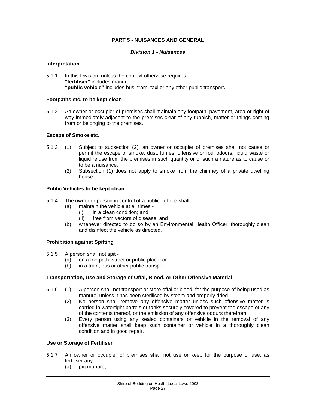## **PART 5 - NUISANCES AND GENERAL**

#### *Division 1 - Nuisances*

#### **Interpretation**

5.1.1 In this Division, unless the context otherwise requires - **"fertiliser"** includes manure. **"public vehicle"** includes bus, tram, taxi or any other public transport*.*

#### **Footpaths etc, to be kept clean**

5.1.2 An owner or occupier of premises shall maintain any footpath, pavement, area or right of way immediately adjacent to the premises clear of any rubbish, matter or things coming from or belonging to the premises.

#### **Escape of Smoke etc.**

- 5.1.3 (1) Subject to subsection (2), an owner or occupier of premises shall not cause or permit the escape of smoke, dust, fumes, offensive or foul odours, liquid waste or liquid refuse from the premises in such quantity or of such a nature as to cause or to be a nuisance.
	- (2) Subsection (1) does not apply to smoke from the chimney of a private dwelling house.

#### **Public Vehicles to be kept clean**

- 5.1.4 The owner or person in control of a public vehicle shall
	- (a) maintain the vehicle at all times
		- (i) in a clean condition; and
		- (ii) free from vectors of disease; and
	- (b) whenever directed to do so by an Environmental Health Officer, thoroughly clean and disinfect the vehicle as directed.

#### **Prohibition against Spitting**

- 5.1.5 A person shall not spit -<br>(a) on a footpath, stre
	- on a footpath, street or public place; or
	- (b) in a train, bus or other public transport.

#### **Transportation, Use and Storage of Offal, Blood, or Other Offensive Material**

- 5.1.6 (1) A person shall not transport or store offal or blood, for the purpose of being used as manure, unless it has been sterilised by steam and properly dried.
	- (2) No person shall remove any offensive matter unless such offensive matter is carried in watertight barrels or tanks securely covered to prevent the escape of any of the contents thereof, or the emission of any offensive odours therefrom.
	- (3) Every person using any sealed containers or vehicle in the removal of any offensive matter shall keep such container or vehicle in a thoroughly clean condition and in good repair.

#### **Use or Storage of Fertiliser**

- 5.1.7 An owner or occupier of premises shall not use or keep for the purpose of use, as fertiliser any -
	- (a) pig manure;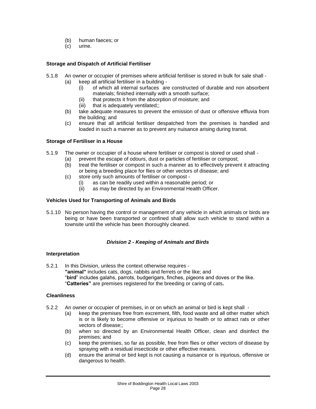- (b) human faeces; or
- (c) urine.

## **Storage and Dispatch of Artificial Fertiliser**

- 5.1.8 An owner or occupier of premises where artificial fertiliser is stored in bulk for sale shall
	- (a) keep all artificial fertiliser in a building
		- (i) of which all internal surfaces are constructed of durable and non absorbent materials; finished internally with a smooth surface;
		- (ii) that protects it from the absorption of moisture; and<br>(iii) that is adequately ventilated::
		- that is adequately ventilated;;
	- (b) take adequate measures to prevent the emission of dust or offensive effluvia from the building; and
	- (c) ensure that all artificial fertiliser despatched from the premises is handled and loaded in such a manner as to prevent any nuisance arising during transit.

#### **Storage of Fertiliser in a House**

- 5.1.9 The owner or occupier of a house where fertiliser or compost is stored or used shall
	- (a) prevent the escape of odours, dust or particles of fertiliser or compost;
		- (b) treat the fertiliser or compost in such a manner as to effectively prevent it attracting or being a breeding place for flies or other vectors of disease; and
		- (c) store only such amounts of fertiliser or compost
			- (i) as can be readily used within a reasonable period; or
			- as may be directed by an Environmental Health Officer.

## **Vehicles Used for Transporting of Animals and Birds**

5.1.10 No person having the control or management of any vehicle in which animals or birds are being or have been transported or confined shall allow such vehicle to stand within a townsite until the vehicle has been thoroughly cleaned.

## *Division 2 - Keeping of Animals and Birds*

#### **Interpretation**

5.2.1 In this Division, unless the context otherwise requires - **"animal"** includes cats, dogs, rabbits and ferrets or the like; and "**bird**" includes galahs, parrots, budgerigars, finches, pigeons and doves or the like. "**Catteries"** are premises registered for the breeding or caring of cats*.*

## **Cleanliness**

- 5.2.2 An owner or occupier of premises, in or on which an animal or bird is kept shall
	- (a) keep the premises free from excrement, filth, food waste and all other matter which is or is likely to become offensive or injurious to health or to attract rats or other vectors of disease;;
	- (b) when so directed by an Environmental Health Officer, clean and disinfect the premises; and
	- (c) keep the premises, so far as possible, free from flies or other vectors of disease by spraying with a residual insecticide or other effective means.
	- (d) ensure the animal or bird kept is not causing a nuisance or is injurious, offensive or dangerous to health.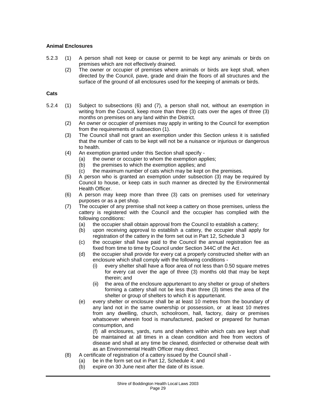## **Animal Enclosures**

- 5.2.3 (1) A person shall not keep or cause or permit to be kept any animals or birds on premises which are not effectively drained.
	- (2) The owner or occupier of premises where animals or birds are kept shall, when directed by the Council, pave, grade and drain the floors of all structures and the surface of the ground of all enclosures used for the keeping of animals or birds.

#### **Cats**

- 5.2.4 (1) Subject to subsections (6) and (7), a person shall not, without an exemption in writing from the Council, keep more than three (3) cats over the ages of three (3) months on premises on any land within the District.
	- (2) An owner or occupier of premises may apply in writing to the Council for exemption from the requirements of subsection (1).
	- (3) The Council shall not grant an exemption under this Section unless it is satisfied that the number of cats to be kept will not be a nuisance or injurious or dangerous to health.
	- (4) An exemption granted under this Section shall specify
		- (a) the owner or occupier to whom the exemption applies;
		- (b) the premises to which the exemption applies; and
		- (c) the maximum number of cats which may be kept on the premises.
	- (5) A person who is granted an exemption under subsection (3) may be required by Council to house, or keep cats in such manner as directed by the Environmental Health Officer.
	- (6) A person may keep more than three (3) cats on premises used for veterinary purposes or as a pet shop.
	- (7) The occupier of any premise shall not keep a cattery on those premises, unless the cattery is registered with the Council and the occupier has complied with the following conditions:
		- (a) the occupier shall obtain approval from the Council to establish a cattery;
		- (b) upon receiving approval to establish a cattery, the occupier shall apply for registration of the cattery in the form set out in Part 12, Schedule 3
		- (c) the occupier shall have paid to the Council the annual registration fee as fixed from time to time by Council under Section 344C of the Act .
		- (d) the occupier shall provide for every cat a properly constructed shelter with an enclosure which shall comply with the following conditions -
			- (i) every shelter shall have a floor area of not less than 0.50 square metres for every cat over the age of three (3) months old that may be kept therein; and
			- (ii) the area of the enclosure appurtenant to any shelter or group of shelters forming a cattery shall not be less than three (3) times the area of the shelter or group of shelters to which it is appurtenant.
		- (e) every shelter or enclosure shall be at least 10 metres from the boundary of any land not in the same ownership or possession, or at least 10 metres from any dwelling, church, schoolroom, hall, factory, dairy or premises whatsoever wherein food is manufactured, packed or prepared for human consumption, and

(f) all enclosures, yards, runs and shelters within which cats are kept shall be maintained at all times in a clean condition and free from vectors of disease and shall at any time be cleaned, disinfected or otherwise dealt with as an Environmental Health Officer may direct.

- (8) A certificate of registration of a cattery issued by the Council shall
	- (a) be in the form set out in Part 12, Schedule 4; and
	- (b) expire on 30 June next after the date of its issue.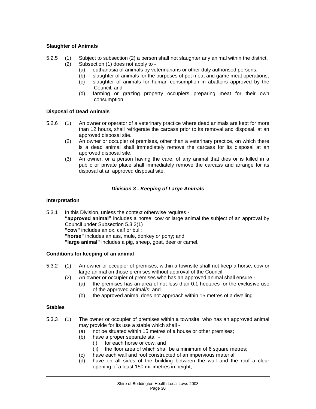## **Slaughter of Animals**

- 5.2.5 (1) Subject to subsection (2) a person shall not slaughter any animal within the district. (2) Subsection (1) does not apply to -
	- (a) euthanasia of animals by veterinarians or other duly authorised persons;
	- (b) slaughter of animals for the purposes of pet meat and game meat operations;
	- (c) slaughter of animals for human consumption in abattoirs approved by the Council; and
	- (d) farming or grazing property occupiers preparing meat for their own consumption.

## **Disposal of Dead Animals**

- 5.2.6 (1) An owner or operator of a veterinary practice where dead animals are kept for more than 12 hours, shall refrigerate the carcass prior to its removal and disposal, at an approved disposal site.
	- (2) An owner or occupier of premises, other than a veterinary practice, on which there is a dead animal shall immediately remove the carcass for its disposal at an approved disposal site.
	- (3) An owner, or a person having the care, of any animal that dies or is killed in a public or private place shall immediately remove the carcass and arrange for its disposal at an approved disposal site.

## *Division 3 - Keeping of Large Animals*

#### **Interpretation**

5.3.1 In this Division, unless the context otherwise requires - **"approved animal"** includes a horse, cow or large animal the subject of an approval by Council under Subsection 5.3.2(1) **"cow"** includes an ox, calf or bull; **"horse"** includes an ass, mule, donkey or pony; and **"large animal"** includes a pig, sheep, goat, deer or camel.

## **Conditions for keeping of an animal**

- 5.3.2 (1) An owner or occupier of premises, within a townsite shall not keep a horse, cow or large animal on those premises without approval of the Council.
	- (2) An owner or occupier of premises who has an approved animal shall ensure **-**
		- (a) the premises has an area of not less than 0.1 hectares for the exclusive use of the approved animal/s; and
		- (b) the approved animal does not approach within 15 metres of a dwelling.

#### **Stables**

- 5.3.3 (1) The owner or occupier of premises within a townsite, who has an approved animal may provide for its use a stable which shall -
	- (a) not be situated within 15 metres of a house or other premises;
	- (b) have a proper separate stall
		- (i) for each horse or cow; and
		- (ii) the floor area of which shall be a minimum of 6 square metres;
	- (c) have each wall and roof constructed of an impervious material;
	- (d) have on all sides of the building between the wall and the roof a clear opening of a least 150 millimetres in height;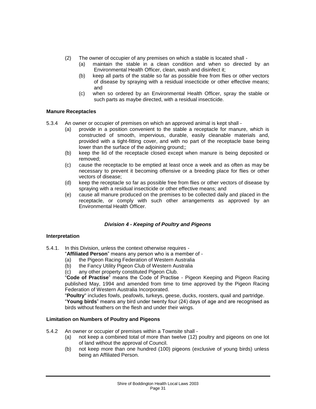- (2) The owner of occupier of any premises on which a stable is located shall
	- (a) maintain the stable in a clean condition and when so directed by an Environmental Health Officer, clean, wash and disinfect it;
	- (b) keep all parts of the stable so far as possible free from flies or other vectors of disease by spraying with a residual insecticide or other effective means; and
	- (c) when so ordered by an Environmental Health Officer, spray the stable or such parts as maybe directed, with a residual insecticide.

## **Manure Receptacles**

- 5.3.4 An owner or occupier of premises on which an approved animal is kept shall
	- (a) provide in a position convenient to the stable a receptacle for manure, which is constructed of smooth, impervious, durable, easily cleanable materials and, provided with a tight-fitting cover, and with no part of the receptacle base being lower than the surface of the adioining ground::
	- (b) keep the lid of the receptacle closed except when manure is being deposited or removed;
	- (c) cause the receptacle to be emptied at least once a week and as often as may be necessary to prevent it becoming offensive or a breeding place for flies or other vectors of disease;
	- (d) keep the receptacle so far as possible free from flies or other vectors of disease by spraying with a residual insecticide or other effective means; and
	- (e) cause all manure produced on the premises to be collected daily and placed in the receptacle, or comply with such other arrangements as approved by an Environmental Health Officer.

## *Division 4 - Keeping of Poultry and Pigeons*

## **Interpretation**

- 5.4.1. In this Division, unless the context otherwise requires
	- "**Affiliated Person**" means any person who is a member of -
	- (a) the Pigeon Racing Federation of Western Australia
	- (b) the Fancy Utility Pigeon Club of Western Australia
	- (c) any other property constituted Pigeon Club.

"**Code of Practise**" means the Code of Practise - Pigeon Keeping and Pigeon Racing published May, 1994 and amended from time to time approved by the Pigeon Racing Federation of Western Australia Incorporated.

"**Poultry**" includes fowls, peafowls, turkeys, geese, ducks, roosters, quail and partridge. "**Young birds**" means any bird under twenty four (24) days of age and are recognised as birds without feathers on the flesh and under their wings.

#### **Limitation on Numbers of Poultry and Pigeons**

- 5.4.2 An owner or occupier of premises within a Townsite shall
	- (a) not keep a combined total of more than twelve (12) poultry and pigeons on one lot of land without the approval of Council.
	- (b) not keep more than one hundred (100) pigeons (exclusive of young birds) unless being an Affiliated Person.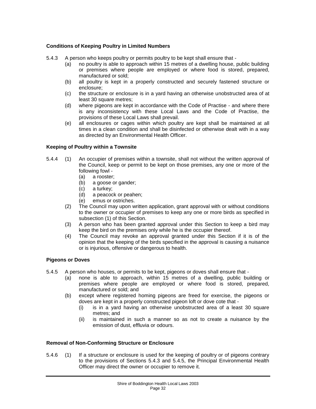## **Conditions of Keeping Poultry in Limited Numbers**

5.4.3 A person who keeps poultry or permits poultry to be kept shall ensure that -

- (a) no poultry is able to approach within 15 metres of a dwelling house, public building or premises where people are employed or where food is stored, prepared, manufactured or sold;
- (b) all poultry is kept in a properly constructed and securely fastened structure or enclosure;
- (c) the structure or enclosure is in a yard having an otherwise unobstructed area of at least 30 square metres:
- (d) where pigeons are kept in accordance with the Code of Practise and where there is any inconsistency with these Local Laws and the Code of Practise, the provisions of these Local Laws shall prevail.
- (e) all enclosures or cages within which poultry are kept shall be maintained at all times in a clean condition and shall be disinfected or otherwise dealt with in a way as directed by an Environmental Health Officer.

## **Keeping of Poultry within a Townsite**

- 5.4.4 (1) An occupier of premises within a townsite, shall not without the written approval of the Council, keep or permit to be kept on those premises, any one or more of the following fowl -
	- (a) a rooster;
	- (b) a goose or gander;
	- (c) a turkey;
	- (d) a peacock or peahen;
	- (e) emus or ostriches.
	- (2) The Council may upon written application, grant approval with or without conditions to the owner or occupier of premises to keep any one or more birds as specified in subsection (1) of this Section.
	- (3) A person who has been granted approval under this Section to keep a bird may keep the bird on the premises only while he is the occupier thereof.
	- (4) The Council may revoke an approval granted under this Section if it is of the opinion that the keeping of the birds specified in the approval is causing a nuisance or is injurious, offensive or dangerous to health.

#### **Pigeons or Doves**

- 5.4.5 A person who houses, or permits to be kept, pigeons or doves shall ensure that
	- (a) none is able to approach, within 15 metres of a dwelling, public building or premises where people are employed or where food is stored, prepared, manufactured or sold; and
	- (b) except where registered homing pigeons are freed for exercise, the pigeons or doves are kept in a properly constructed pigeon loft or dove cote that -
		- (i) is in a yard having an otherwise unobstructed area of a least 30 square metres; and
		- (ii) is maintained in such a manner so as not to create a nuisance by the emission of dust, effluvia or odours.

## **Removal of Non-Conforming Structure or Enclosure**

5.4.6 (1) If a structure or enclosure is used for the keeping of poultry or of pigeons contrary to the provisions of Sections 5.4.3 and 5.4.5, the Principal Environmental Health Officer may direct the owner or occupier to remove it.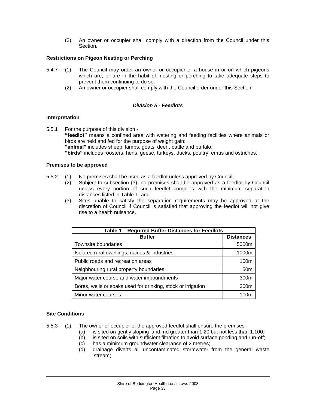(2) An owner or occupier shall comply with a direction from the Council under this Section.

## **Restrictions on Pigeon Nesting or Perching**

- 5.4.7 (1) The Council may order an owner or occupier of a house in or on which pigeons which are, or are in the habit of, nesting or perching to take adequate steps to prevent them continuing to do so.
	- (2) An owner or occupier shall comply with the Council order under this Section.

## *Division 5 - Feedlots*

## **Interpretation**

5.5.1 For the purpose of this division - **"feedlot"** means a confined area with watering and feeding facilities where animals or birds are held and fed for the purpose of weight gain: **"animal"** includes sheep, lambs, goats, deer , cattle and buffalo; **"birds"** includes roosters, hens, geese, turkeys, ducks, poultry, emus and ostriches.

## **Premises to be approved**

- 5.5.2 (1) No premises shall be used as a feedlot unless approved by Council;
	- (2) Subject to subsection (3), no premises shall be approved as a feedlot by Council unless every portion of such feedlot complies with the minimum separation distances listed in Table 1; and
	- (3) Sites unable to satisfy the separation requirements may be approved at the discretion of Council if Council is satisfied that approving the feedlot will not give rise to a health nuisance.

| Table 1 - Required Buffer Distances for Feedlots             |                  |  |  |  |
|--------------------------------------------------------------|------------------|--|--|--|
| <b>Buffer</b>                                                | <b>Distances</b> |  |  |  |
| Townsite boundaries                                          | 5000m            |  |  |  |
| Isolated rural dwellings, dairies & industries               | 1000m            |  |  |  |
| Public roads and recreation areas                            | 100 <sub>m</sub> |  |  |  |
| Neighbouring rural property boundaries                       | 50 <sub>m</sub>  |  |  |  |
| Major water course and water impoundments                    | 300 <sub>m</sub> |  |  |  |
| Bores, wells or soaks used for drinking, stock or irrigation | 300 <sub>m</sub> |  |  |  |
| Minor water courses                                          | 100m             |  |  |  |

## **Site Conditions**

- 5.5.3 (1) The owner or occupier of the approved feedlot shall ensure the premises
	- (a) is sited on gently sloping land, no greater than 1:20 but not less than 1:100;
	- (b) is sited on soils with sufficient filtration to avoid surface ponding and run-off;
	- (c) has a minimum groundwater clearance of 2 metres;
	- (d) drainage diverts all uncontaminated stormwater from the general waste stream;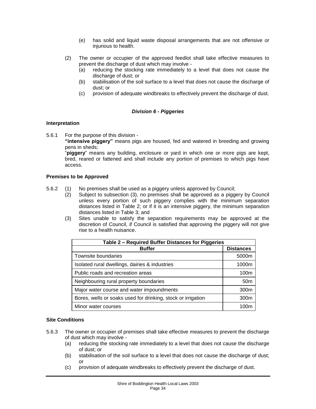- (e) has solid and liquid waste disposal arrangements that are not offensive or injurious to health.
- (2) The owner or occupier of the approved feedlot shall take effective measures to prevent the discharge of dust which may involve -
	- (a) reducing the stocking rate immediately to a level that does not cause the discharge of dust; or
	- (b) stabilisation of the soil surface to a level that does not cause the discharge of dust; or
	- (c) provision of adequate windbreaks to effectively prevent the discharge of dust.

## *Division 6 - Piggeries*

## **Interpretation**

5.6.1 For the purpose of this division -

**"intensive piggery"** means pigs are housed, fed and watered in breeding and growing pens in sheds;

"**piggery**" means any building, enclosure or yard in which one or more pigs are kept, bred, reared or fattened and shall include any portion of premises to which pigs have access.

## **Premises to be Approved**

- 5.6.2 (1) No premises shall be used as a piggery unless approved by Council;
	- (2) Subject to subsection (3), no premises shall be approved as a piggery by Council unless every portion of such piggery complies with the minimum separation distances listed in Table 2; or if it is an intensive piggery, the minimum separation distances listed in Table 3; and
	- (3) Sites unable to satisfy the separation requirements may be approved at the discretion of Council, if Council is satisfied that approving the piggery will not give rise to a health nuisance.

| Table 2 - Required Buffer Distances for Piggeries            |                  |  |  |  |
|--------------------------------------------------------------|------------------|--|--|--|
| <b>Buffer</b>                                                | <b>Distances</b> |  |  |  |
| Townsite boundaries                                          | 5000m            |  |  |  |
| Isolated rural dwellings, dairies & industries               | 1000m            |  |  |  |
| Public roads and recreation areas                            | 100m             |  |  |  |
| Neighbouring rural property boundaries                       | 50 <sub>m</sub>  |  |  |  |
| Major water course and water impoundments                    | 300m             |  |  |  |
| Bores, wells or soaks used for drinking, stock or irrigation | 300 <sub>m</sub> |  |  |  |
| Minor water courses                                          | 100m             |  |  |  |

## **Site Conditions**

- 5.6.3 The owner or occupier of premises shall take effective measures to prevent the discharge of dust which may involve -
	- (a) reducing the stocking rate immediately to a level that does not cause the discharge of dust; or
	- (b) stabilisation of the soil surface to a level that does not cause the discharge of dust; or
	- (c) provision of adequate windbreaks to effectively prevent the discharge of dust.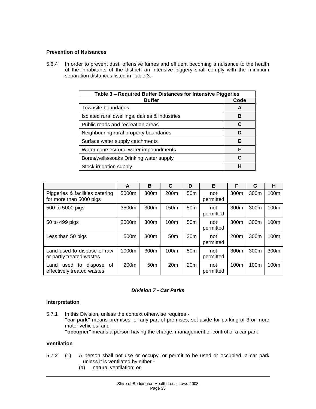## **Prevention of Nuisances**

5.6.4 In order to prevent dust, offensive fumes and effluent becoming a nuisance to the health of the inhabitants of the district, an intensive piggery shall comply with the minimum separation distances listed in Table 3.

| Table 3 - Required Buffer Distances for Intensive Piggeries |      |  |  |  |
|-------------------------------------------------------------|------|--|--|--|
| <b>Buffer</b>                                               | Code |  |  |  |
| Townsite boundaries                                         | A    |  |  |  |
| Isolated rural dwellings, dairies & industries              | В    |  |  |  |
| Public roads and recreation areas                           | C    |  |  |  |
| Neighbouring rural property boundaries                      | D    |  |  |  |
| Surface water supply catchments                             | Е    |  |  |  |
| Water courses/rural water impoundments                      | F    |  |  |  |
| Bores/wells/soaks Drinking water supply                     | G    |  |  |  |
| Stock irrigation supply                                     | н    |  |  |  |

|                                                                   | A                | B                | C                | D               | Е                | F                | G                | н                |
|-------------------------------------------------------------------|------------------|------------------|------------------|-----------------|------------------|------------------|------------------|------------------|
| Piggeries & facilities catering<br>for more than 5000 pigs        | 5000m            | 300m             | 200 <sub>m</sub> | 50 <sub>m</sub> | not<br>permitted | 300m             | 300m             | 100 <sub>m</sub> |
| 500 to 5000 pigs                                                  | 3500m            | 300 <sub>m</sub> | 150 <sub>m</sub> | 50 <sub>m</sub> | not<br>permitted | 300 <sub>m</sub> | 300 <sub>m</sub> | 100 <sub>m</sub> |
| 50 to 499 pigs                                                    | 2000m            | 300 <sub>m</sub> | 100m             | 50 <sub>m</sub> | not<br>permitted | 300 <sub>m</sub> | 300m             | 100 <sub>m</sub> |
| Less than 50 pigs                                                 | 500m             | 300m             | 50 <sub>m</sub>  | 30 <sub>m</sub> | not<br>permitted | 200m             | 300m             | 100m             |
| Land used to dispose of raw<br>or partly treated wastes           | 1000m            | 300m             | 100m             | 50 <sub>m</sub> | not<br>permitted | 300m             | 300m             | 300m             |
| dispose<br>0f<br>to<br>Land<br>used<br>effectively treated wastes | 200 <sub>m</sub> | 50 <sub>m</sub>  | 20 <sub>m</sub>  | 20 <sub>m</sub> | not<br>permitted | 100m             | 100 <sub>m</sub> | 100m             |

## *Division 7 - Car Parks*

## **Interpretation**

5.7.1 In this Division, unless the context otherwise requires - **"car park"** means premises, or any part of premises, set aside for parking of 3 or more motor vehicles; and **"occupier"** means a person having the charge, management or control of a car park.

## **Ventilation**

- 5.7.2 (1) A person shall not use or occupy, or permit to be used or occupied, a car park unless it is ventilated by either -
	- (a) natural ventilation; or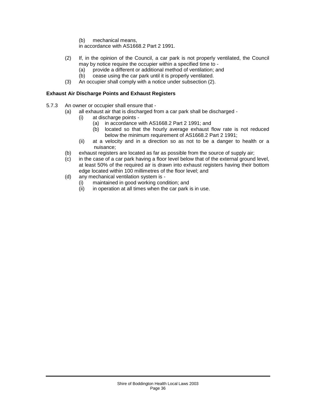(b) mechanical means,

in accordance with AS1668.2 Part 2 1991.

- (2) If, in the opinion of the Council, a car park is not properly ventilated, the Council may by notice require the occupier within a specified time to -
	- (a) provide a different or additional method of ventilation; and
	- (b) cease using the car park until it is properly ventilated.
- (3) An occupier shall comply with a notice under subsection (2).

## **Exhaust Air Discharge Points and Exhaust Registers**

- 5.7.3 An owner or occupier shall ensure that
	- (a) all exhaust air that is discharged from a car park shall be discharged
		- (i) at discharge points
			- (a) in accordance with AS1668.2 Part 2 1991; and
			- (b) located so that the hourly average exhaust flow rate is not reduced below the minimum requirement of AS1668.2 Part 2 1991;
		- (ii) at a velocity and in a direction so as not to be a danger to health or a nuisance;
	- (b) exhaust registers are located as far as possible from the source of supply air;
	- (c) in the case of a car park having a floor level below that of the external ground level, at least 50% of the required air is drawn into exhaust registers having their bottom edge located within 100 millimetres of the floor level; and
	- (d) any mechanical ventilation system is
		- (i) maintained in good working condition; and (ii) in operation at all times when the car park
		- in operation at all times when the car park is in use.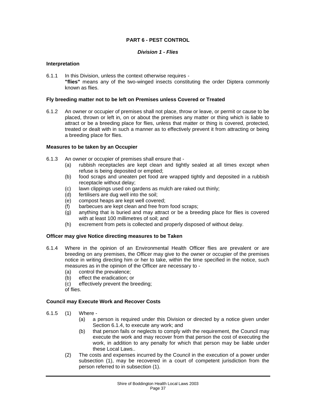## **PART 6 - PEST CONTROL**

#### *Division 1 - Flies*

#### **Interpretation**

6.1.1 In this Division, unless the context otherwise requires - **"flies"** means any of the two-winged insects constituting the order Diptera commonly known as flies.

#### **Fly breeding matter not to be left on Premises unless Covered or Treated**

6.1.2 An owner or occupier of premises shall not place, throw or leave, or permit or cause to be placed, thrown or left in, on or about the premises any matter or thing which is liable to attract or be a breeding place for flies, unless that matter or thing is covered, protected, treated or dealt with in such a manner as to effectively prevent it from attracting or being a breeding place for flies.

#### **Measures to be taken by an Occupier**

- 6.1.3 An owner or occupier of premises shall ensure that
	- (a) rubbish receptacles are kept clean and tightly sealed at all times except when refuse is being deposited or emptied;
	- (b) food scraps and uneaten pet food are wrapped tightly and deposited in a rubbish receptacle without delay;
	- (c) lawn clippings used on gardens as mulch are raked out thinly;
	- (d) fertilisers are dug well into the soil;
	- (e) compost heaps are kept well covered;
	- (f) barbecues are kept clean and free from food scraps;
	- (g) anything that is buried and may attract or be a breeding place for flies is covered with at least 100 millimetres of soil; and
	- (h) excrement from pets is collected and properly disposed of without delay.

## **Officer may give Notice directing measures to be Taken**

- 6.1.4 Where in the opinion of an Environmental Health Officer flies are prevalent or are breeding on any premises, the Officer may give to the owner or occupier of the premises notice in writing directing him or her to take, within the time specified in the notice, such measures as in the opinion of the Officer are necessary to -
	- (a) control the prevalence;
	- (b) effect the eradication; or
	- (c) effectively prevent the breeding;
	- of flies.

## **Council may Execute Work and Recover Costs**

- 6.1.5 (1) Where
	- (a) a person is required under this Division or directed by a notice given under Section 6.1.4, to execute any work; and
	- (b) that person fails or neglects to comply with the requirement, the Council may execute the work and may recover from that person the cost of executing the work, in addition to any penalty for which that person may be liable under these Local Laws..
	- (2) The costs and expenses incurred by the Council in the execution of a power under subsection (1), may be recovered in a court of competent jurisdiction from the person referred to in subsection (1).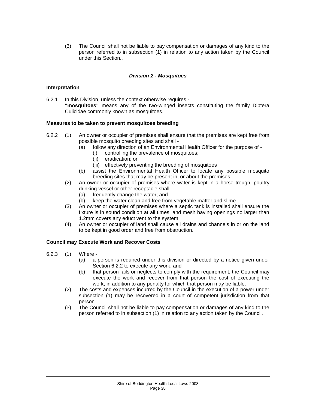(3) The Council shall not be liable to pay compensation or damages of any kind to the person referred to in subsection (1) in relation to any action taken by the Council under this Section..

#### *Division 2 - Mosquitoes*

#### **Interpretation**

6.2.1 In this Division, unless the context otherwise requires - **"mosquitoes"** means any of the two-winged insects constituting the family Diptera Culicidae commonly known as mosquitoes.

#### **Measures to be taken to prevent mosquitoes breeding**

- 6.2.2 (1) An owner or occupier of premises shall ensure that the premises are kept free from possible mosquito breeding sites and shall -
	- (a) follow any direction of an Environmental Health Officer for the purpose of
		- (i) controlling the prevalence of mosquitoes;
		- (ii) eradication; or
		- (iii) effectively preventing the breeding of mosquitoes
	- (b) assist the Environmental Health Officer to locate any possible mosquito breeding sites that may be present in, or about the premises.
	- (2) An owner or occupier of premises where water is kept in a horse trough, poultry drinking vessel or other receptacle shall -
		- (a) frequently change the water; and
		- (b) keep the water clean and free from vegetable matter and slime.
	- (3) An owner or occupier of premises where a septic tank is installed shall ensure the fixture is in sound condition at all times, and mesh having openings no larger than 1.2mm covers any educt vent to the system.
	- (4) An owner or occupier of land shall cause all drains and channels in or on the land to be kept in good order and free from obstruction.

## **Council may Execute Work and Recover Costs**

- 6.2.3 (1) Where
	- (a) a person is required under this division or directed by a notice given under Section 6.2.2 to execute any work; and
	- (b) that person fails or neglects to comply with the requirement, the Council may execute the work and recover from that person the cost of executing the work, in addition to any penalty for which that person may be liable.
	- (2) The costs and expenses incurred by the Council in the execution of a power under subsection (1) may be recovered in a court of competent jurisdiction from that person.
	- (3) The Council shall not be liable to pay compensation or damages of any kind to the person referred to in subsection (1) in relation to any action taken by the Council.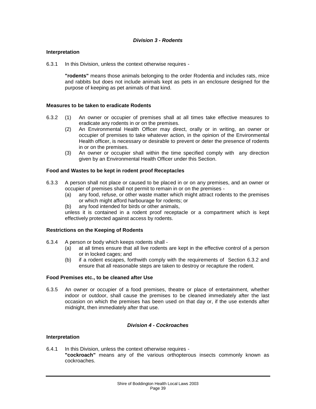#### **Interpretation**

6.3.1 In this Division, unless the context otherwise requires -

**"rodents"** means those animals belonging to the order Rodentia and includes rats, mice and rabbits but does not include animals kept as pets in an enclosure designed for the purpose of keeping as pet animals of that kind.

#### **Measures to be taken to eradicate Rodents**

- 6.3.2 (1) An owner or occupier of premises shall at all times take effective measures to eradicate any rodents in or on the premises.
	- (2) An Environmental Health Officer may direct, orally or in writing, an owner or occupier of premises to take whatever action, in the opinion of the Environmental Health officer, is necessary or desirable to prevent or deter the presence of rodents in or on the premises.
	- (3) An owner or occupier shall within the time specified comply with any direction given by an Environmental Health Officer under this Section.

#### **Food and Wastes to be kept in rodent proof Receptacles**

- 6.3.3 A person shall not place or caused to be placed in or on any premises, and an owner or occupier of premises shall not permit to remain in or on the premises -
	- (a) any food, refuse, or other waste matter which might attract rodents to the premises or which might afford harbourage for rodents; or
	- (b) any food intended for birds or other animals,

unless it is contained in a rodent proof receptacle or a compartment which is kept effectively protected against access by rodents.

#### **Restrictions on the Keeping of Rodents**

- 6.3.4 A person or body which keeps rodents shall
	- (a) at all times ensure that all live rodents are kept in the effective control of a person or in locked cages; and
	- (b) if a rodent escapes, forthwith comply with the requirements of Section 6.3.2 and ensure that all reasonable steps are taken to destroy or recapture the rodent.

#### **Food Premises etc., to be cleaned after Use**

6.3.5 An owner or occupier of a food premises, theatre or place of entertainment, whether indoor or outdoor, shall cause the premises to be cleaned immediately after the last occasion on which the premises has been used on that day or, if the use extends after midnight, then immediately after that use.

#### *Division 4 - Cockroaches*

#### **Interpretation**

6.4.1 In this Division, unless the context otherwise requires - **"cockroach"** means any of the various orthopterous insects commonly known as cockroaches.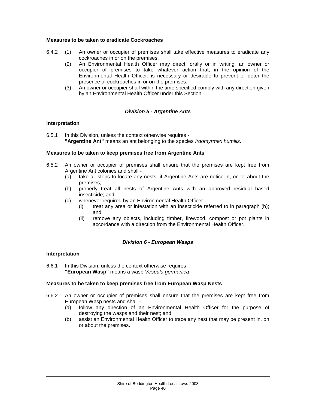#### **Measures to be taken to eradicate Cockroaches**

- 6.4.2 (1) An owner or occupier of premises shall take effective measures to eradicate any cockroaches in or on the premises.
	- (2) An Environmental Health Officer may direct, orally or in writing, an owner or occupier of premises to take whatever action that, in the opinion of the Environmental Health Officer, is necessary or desirable to prevent or deter the presence of cockroaches in or on the premises.
	- (3) An owner or occupier shall within the time specified comply with any direction given by an Environmental Health Officer under this Section.

#### *Division 5 - Argentine Ants*

#### **Interpretation**

6.5.1 In this Division, unless the context otherwise requires - **"Argentine Ant"** means an ant belonging to the species *Irdomyrmex humilis*.

#### **Measures to be taken to keep premises free from Argentine Ants**

- 6.5.2 An owner or occupier of premises shall ensure that the premises are kept free from Argentine Ant colonies and shall -
	- (a) take all steps to locate any nests, if Argentine Ants are notice in, on or about the premises;
	- (b) properly treat all nests of Argentine Ants with an approved residual based insecticide; and
	- (c) whenever required by an Environmental Health Officer
		- (i) treat any area or infestation with an insecticide referred to in paragraph (b); and
		- (ii) remove any objects, including timber, firewood, compost or pot plants in accordance with a direction from the Environmental Health Officer.

## *Division 6 - European Wasps*

#### **Interpretation**

6.6.1 In this Division, unless the context otherwise requires - **"European Wasp"** means a wasp *Vespula germanica*.

#### **Measures to be taken to keep premises free from European Wasp Nests**

- 6.6.2 An owner or occupier of premises shall ensure that the premises are kept free from European Wasp nests and shall -
	- (a) follow any direction of an Environmental Health Officer for the purpose of destroying the wasps and their nest; and
	- (b) assist an Environmental Health Officer to trace any nest that may be present in, on or about the premises.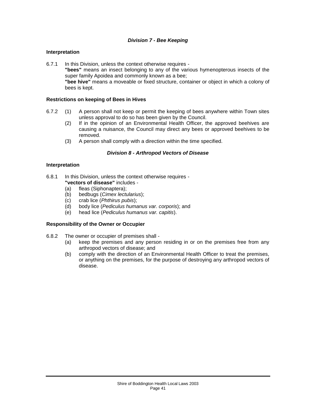## *Division 7 - Bee Keeping*

### **Interpretation**

6.7.1 In this Division, unless the context otherwise requires - **"bees"** means an insect belonging to any of the various hymenopterous insects of the super family Apoidea and commonly known as a bee; **"bee hive"** means a moveable or fixed structure, container or object in which a colony of bees is kept.

### **Restrictions on keeping of Bees in Hives**

- 6.7.2 (1) A person shall not keep or permit the keeping of bees anywhere within Town sites unless approval to do so has been given by the Council.
	- (2) If in the opinion of an Environmental Health Officer, the approved beehives are causing a nuisance, the Council may direct any bees or approved beehives to be removed.
	- (3) A person shall comply with a direction within the time specified.

#### *Division 8 - Arthropod Vectors of Disease*

#### **Interpretation**

- 6.8.1 In this Division, unless the context otherwise requires **"vectors of disease"** includes -
	-
	- (a) fleas (Siphonaptera);<br>(b) bedbugs (Cimex lectu (b) bedbugs (*Cimex lectularius*);
	- (c) crab lice (*Phthirus pubis*);
	- (d) body lice (*Pediculus humanus var. corporis*); and
	- (e) head lice (*Pediculus humanus var. capitis*).

#### **Responsibility of the Owner or Occupier**

- 6.8.2 The owner or occupier of premises shall
	- (a) keep the premises and any person residing in or on the premises free from any arthropod vectors of disease; and
	- (b) comply with the direction of an Environmental Health Officer to treat the premises, or anything on the premises, for the purpose of destroying any arthropod vectors of disease.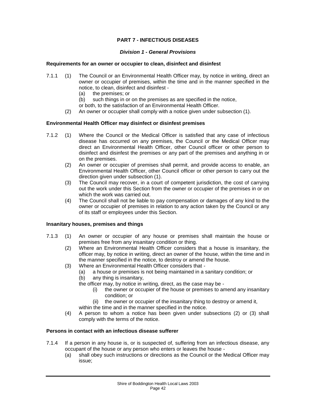## **PART 7 - INFECTIOUS DISEASES**

#### *Division 1 - General Provisions*

#### **Requirements for an owner or occupier to clean, disinfect and disinfest**

- 7.1.1 (1) The Council or an Environmental Health Officer may, by notice in writing, direct an owner or occupier of premises, within the time and in the manner specified in the notice, to clean, disinfect and disinfest -
	- (a) the premises; or<br>(b) such things in or
	- such things in or on the premises as are specified in the notice,
	- or both, to the satisfaction of an Environmental Health Officer.
	- (2) An owner or occupier shall comply with a notice given under subsection (1).

#### **Environmental Health Officer may disinfect or disinfest premises**

- 7.1.2 (1) Where the Council or the Medical Officer is satisfied that any case of infectious disease has occurred on any premises, the Council or the Medical Officer may direct an Environmental Health Officer, other Council officer or other person to disinfect and disinfest the premises or any part of the premises and anything in or on the premises.
	- (2) An owner or occupier of premises shall permit, and provide access to enable, an Environmental Health Officer, other Council officer or other person to carry out the direction given under subsection (1).
	- (3) The Council may recover, in a court of competent jurisdiction, the cost of carrying out the work under this Section from the owner or occupier of the premises in or on which the work was carried out.
	- (4) The Council shall not be liable to pay compensation or damages of any kind to the owner or occupier of premises in relation to any action taken by the Council or any of its staff or employees under this Section.

#### **Insanitary houses, premises and things**

- 7.1.3 (1) An owner or occupier of any house or premises shall maintain the house or premises free from any insanitary condition or thing.
	- (2) Where an Environmental Health Officer considers that a house is insanitary, the officer may, by notice in writing, direct an owner of the house, within the time and in the manner specified in the notice, to destroy or amend the house.
	- (3) Where an Environmental Health Officer considers that
		- (a) a house or premises is not being maintained in a sanitary condition; or
		- (b) any thing is insanitary,

the officer may, by notice in writing, direct, as the case may be -

- (i) the owner or occupier of the house or premises to amend any insanitary condition; or
- (ii) the owner or occupier of the insanitary thing to destroy or amend it,
- within the time and in the manner specified in the notice.
- (4) A person to whom a notice has been given under subsections (2) or (3) shall comply with the terms of the notice.

#### **Persons in contact with an infectious disease sufferer**

- 7.1.4 If a person in any house is, or is suspected of, suffering from an infectious disease, any occupant of the house or any person who enters or leaves the house -
	- (a) shall obey such instructions or directions as the Council or the Medical Officer may issue;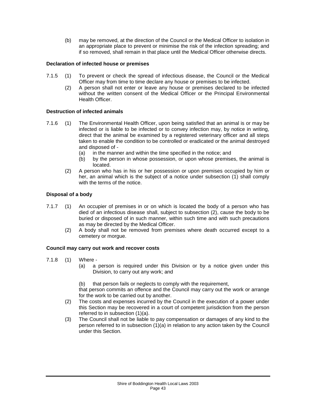(b) may be removed, at the direction of the Council or the Medical Officer to isolation in an appropriate place to prevent or minimise the risk of the infection spreading; and if so removed, shall remain in that place until the Medical Officer otherwise directs.

## **Declaration of infected house or premises**

- 7.1.5 (1) To prevent or check the spread of infectious disease, the Council or the Medical Officer may from time to time declare any house or premises to be infected.
	- (2) A person shall not enter or leave any house or premises declared to be infected without the written consent of the Medical Officer or the Principal Environmental Health Officer.

## **Destruction of infected animals**

- 7.1.6 (1) The Environmental Health Officer, upon being satisfied that an animal is or may be infected or is liable to be infected or to convey infection may, by notice in writing, direct that the animal be examined by a registered veterinary officer and all steps taken to enable the condition to be controlled or eradicated or the animal destroyed and disposed of -
	- (a) in the manner and within the time specified in the notice; and
	- (b) by the person in whose possession, or upon whose premises, the animal is located.
	- (2) A person who has in his or her possession or upon premises occupied by him or her, an animal which is the subject of a notice under subsection (1) shall comply with the terms of the notice.

## **Disposal of a body**

- 7.1.7 (1) An occupier of premises in or on which is located the body of a person who has died of an infectious disease shall, subject to subsection (2), cause the body to be buried or disposed of in such manner, within such time and with such precautions as may be directed by the Medical Officer.
	- (2) A body shall not be removed from premises where death occurred except to a cemetery or morgue.

## **Council may carry out work and recover costs**

- 7.1.8 (1) Where
	- (a) a person is required under this Division or by a notice given under this Division, to carry out any work; and
	- (b) that person fails or neglects to comply with the requirement,

that person commits an offence and the Council may carry out the work or arrange for the work to be carried out by another.

- (2) The costs and expenses incurred by the Council in the execution of a power under this Section may be recovered in a court of competent jurisdiction from the person referred to in subsection (1)(a).
- (3) The Council shall not be liable to pay compensation or damages of any kind to the person referred to in subsection (1)(a) in relation to any action taken by the Council under this Section.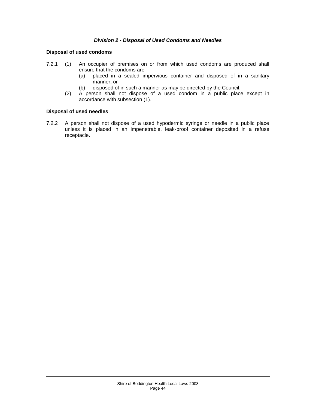#### *Division 2 - Disposal of Used Condoms and Needles*

### **Disposal of used condoms**

- 7.2.1 (1) An occupier of premises on or from which used condoms are produced shall ensure that the condoms are -
	- (a) placed in a sealed impervious container and disposed of in a sanitary manner; or
	- (b) disposed of in such a manner as may be directed by the Council.
	- (2) A person shall not dispose of a used condom in a public place except in accordance with subsection (1).

#### **Disposal of used needles**

7.2.2 A person shall not dispose of a used hypodermic syringe or needle in a public place unless it is placed in an impenetrable, leak-proof container deposited in a refuse receptacle.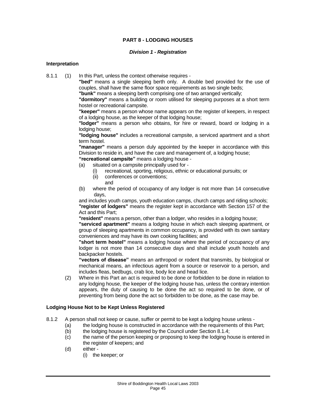## **PART 8 - LODGING HOUSES**

#### *Division 1 - Registration*

#### **Interpretation**

8.1.1 (1) In this Part, unless the context otherwise requires -

**"bed"** means a single sleeping berth only. A double bed provided for the use of couples, shall have the same floor space requirements as two single beds;

**"bunk"** means a sleeping berth comprising one of two arranged vertically;

**"dormitory"** means a building or room utilised for sleeping purposes at a short term hostel or recreational campsite.

**"keeper"** means a person whose name appears on the register of keepers, in respect of a lodging house, as the keeper of that lodging house;

**"lodger"** means a person who obtains, for hire or reward, board or lodging in a lodging house;

**"lodging house"** includes a recreational campsite, a serviced apartment and a short term hostel.

**"manager"** means a person duly appointed by the keeper in accordance with this Division to reside in, and have the care and management of, a lodging house;

**"recreational campsite"** means a lodging house -

- (a) situated on a campsite principally used for
	- (i) recreational, sporting, religious, ethnic or educational pursuits; or
	- (ii) conferences or conventions; and
- (b) where the period of occupancy of any lodger is not more than 14 consecutive days,

and includes youth camps, youth education camps, church camps and riding schools; **"register of lodgers"** means the register kept in accordance with Section 157 of the Act and this Part;

**"resident"** means a person, other than a lodger, who resides in a lodging house;

**"serviced apartment"** means a lodging house in which each sleeping apartment, or group of sleeping apartments in common occupancy, is provided with its own sanitary conveniences and may have its own cooking facilities; and

**"short term hostel"** means a lodging house where the period of occupancy of any lodger is not more than 14 consecutive days and shall include youth hostels and backpacker hostels.

**"vectors of disease"** means an arthropod or rodent that transmits, by biological or mechanical means, an infectious agent from a source or reservoir to a person, and includes fleas, bedbugs, crab lice, body lice and head lice.

(2) Where in this Part an act is required to be done or forbidden to be done in relation to any lodging house, the keeper of the lodging house has, unless the contrary intention appears, the duty of causing to be done the act so required to be done, or of preventing from being done the act so forbidden to be done, as the case may be.

#### **Lodging House Not to be Kept Unless Registered**

- 8.1.2 A person shall not keep or cause, suffer or permit to be kept a lodging house unless
	- (a) the lodging house is constructed in accordance with the requirements of this Part;
	- (b) the lodging house is registered by the Council under Section 8.1.4;
	- (c) the name of the person keeping or proposing to keep the lodging house is entered in the register of keepers; and
	- (d) either
		- (i) the keeper; or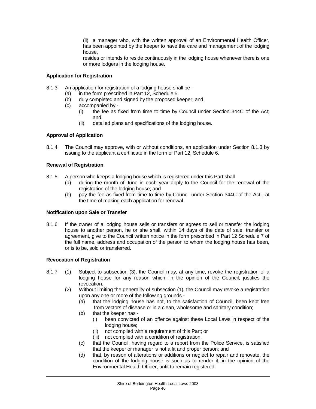(ii) a manager who, with the written approval of an Environmental Health Officer, has been appointed by the keeper to have the care and management of the lodging house,

resides or intends to reside continuously in the lodging house whenever there is one or more lodgers in the lodging house.

## **Application for Registration**

- 8.1.3 An application for registration of a lodging house shall be
	- (a) in the form prescribed in Part 12, Schedule 5<br>(b) duly completed and signed by the proposed k
	- (b) duly completed and signed by the proposed keeper; and (c) accompanied by -
	- accompanied by -
		- (i) the fee as fixed from time to time by Council under Section 344C of the Act; and
		- (ii) detailed plans and specifications of the lodging house.

#### **Approval of Application**

8.1.4 The Council may approve, with or without conditions, an application under Section 8.1.3 by issuing to the applicant a certificate in the form of Part 12, Schedule 6.

#### **Renewal of Registration**

- 8.1.5 A person who keeps a lodging house which is registered under this Part shall
	- (a) during the month of June in each year apply to the Council for the renewal of the registration of the lodging house; and
	- (b) pay the fee as fixed from time to time by Council under Section 344C of the Act , at the time of making each application for renewal.

#### **Notification upon Sale or Transfer**

8.1.6 If the owner of a lodging house sells or transfers or agrees to sell or transfer the lodging house to another person, he or she shall, within 14 days of the date of sale, transfer or agreement, give to the Council written notice in the form prescribed in Part 12 Schedule 7 of the full name, address and occupation of the person to whom the lodging house has been, or is to be, sold or transferred.

#### **Revocation of Registration**

- 8.1.7 (1) Subject to subsection (3), the Council may, at any time, revoke the registration of a lodging house for any reason which, in the opinion of the Council, justifies the revocation.
	- (2) Without limiting the generality of subsection (1), the Council may revoke a registration upon any one or more of the following grounds -
		- (a) that the lodging house has not, to the satisfaction of Council, been kept free from vectors of disease or in a clean, wholesome and sanitary condition;
		- (b) that the keeper has
			- (i) been convicted of an offence against these Local Laws in respect of the lodging house;
			- (ii) not complied with a requirement of this Part; or
			- (iii) not complied with a condition of registration.
		- (c) that the Council, having regard to a report from the Police Service, is satisfied that the keeper or manager is not a fit and proper person; and
		- (d) that, by reason of alterations or additions or neglect to repair and renovate, the condition of the lodging house is such as to render it, in the opinion of the Environmental Health Officer, unfit to remain registered.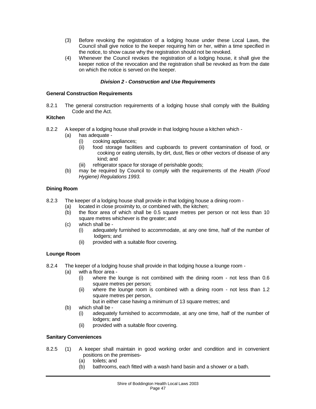- (3) Before revoking the registration of a lodging house under these Local Laws, the Council shall give notice to the keeper requiring him or her, within a time specified in the notice, to show cause why the registration should not be revoked.
- (4) Whenever the Council revokes the registration of a lodging house, it shall give the keeper notice of the revocation and the registration shall be revoked as from the date on which the notice is served on the keeper.

## *Division 2 - Construction and Use Requirements*

### **General Construction Requirements**

8.2.1 The general construction requirements of a lodging house shall comply with the Building Code and the Act.

### **Kitchen**

- 8.2.2 A keeper of a lodging house shall provide in that lodging house a kitchen which
	- (a) has adequate
		- (i) cooking appliances;
		- (ii) food storage facilities and cupboards to prevent contamination of food, or cooking or eating utensils, by dirt, dust, flies or other vectors of disease of any kind; and
		- (iii) refrigerator space for storage of perishable goods;
	- (b) may be required by Council to comply with the requirements of the *Health (Food Hygiene) Regulations 1993.*

### **Dining Room**

- 8.2.3 The keeper of a lodging house shall provide in that lodging house a dining room
	- (a) located in close proximity to, or combined with, the kitchen;
	- (b) the floor area of which shall be 0.5 square metres per person or not less than 10 square metres whichever is the greater; and
	- (c) which shall be
		- (i) adequately furnished to accommodate, at any one time, half of the number of lodgers; and
		- (ii) provided with a suitable floor covering.

## **Lounge Room**

- 8.2.4 The keeper of a lodging house shall provide in that lodging house a lounge room
	- (a) with a floor area
		- (i) where the lounge is not combined with the dining room not less than 0.6 square metres per person;
		- (ii) where the lounge room is combined with a dining room not less than 1.2 square metres per person,
			- but in either case having a minimum of 13 square metres; and
	- (b) which shall be
		- (i) adequately furnished to accommodate, at any one time, half of the number of lodgers; and
		- (ii) provided with a suitable floor covering.

## **Sanitary Conveniences**

- 8.2.5 (1) A keeper shall maintain in good working order and condition and in convenient positions on the premises-
	- (a) toilets; and
	- (b) bathrooms, each fitted with a wash hand basin and a shower or a bath.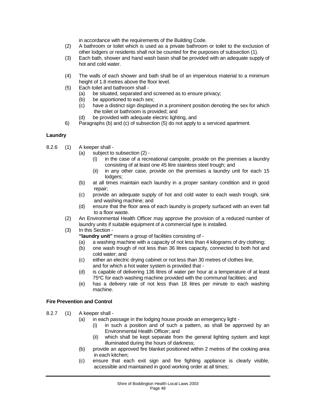in accordance with the requirements of the Building Code.

- (2) A bathroom or toilet which is used as a private bathroom or toilet to the exclusion of other lodgers or residents shall not be counted for the purposes of subsection (1).
- (3) Each bath, shower and hand wash basin shall be provided with an adequate supply of hot and cold water.
- (4) The walls of each shower and bath shall be of an impervious material to a minimum height of 1.8 metres above the floor level.
- (5) Each toilet and bathroom shall
	- (a) be situated, separated and screened as to ensure privacy;
	- (b) be apportioned to each sex;<br>(c) have a distinct sign displayee
	- have a distinct sign displayed in a prominent position denoting the sex for which the toilet or bathroom is provided; and
	- (d) be provided with adequate electric lighting, and
- 6) Paragraphs (b) and (c) of subsection (5) do not apply to a serviced apartment.

#### **Laundry**

- 8.2.6 (1) A keeper shall
	- (a) subject to subsection (2)
		- $(i)$  in the case of a recreational campsite, provide on the premises a laundry consisting of at least one 45 litre stainless steel trough; and
		- (ii) in any other case, provide on the premises a laundry unit for each 15 lodgers;
	- (b) at all times maintain each laundry in a proper sanitary condition and in good repair;
	- (c) provide an adequate supply of hot and cold water to each wash trough, sink and washing machine; and
	- (d) ensure that the floor area of each laundry is properly surfaced with an even fall to a floor waste.
	- (2) An Environmental Health Officer may approve the provision of a reduced number of laundry units if suitable equipment of a commercial type is installed.
	- (3) In this Section
		- **"laundry unit"** means a group of facilities consisting of -
		- (a) a washing machine with a capacity of not less than 4 kilograms of dry clothing;
		- (b) one wash trough of not less than 36 litres capacity, connected to both hot and cold water; and
		- (c) either an electric drying cabinet or not less than 30 metres of clothes line, and for which a hot water system is provided that -
		- (d) is capable of delivering 136 litres of water per hour at a temperature of at least 75°C for each washing machine provided with the communal facilities; and
		- (e) has a delivery rate of not less than 18 litres per minute to each washing machine.

## **Fire Prevention and Control**

- 8.2.7 (1) A keeper shall
	- (a) in each passage in the lodging house provide an emergency light
		- (i) in such a position and of such a pattern, as shall be approved by an Environmental Health Officer; and
		- (ii) which shall be kept separate from the general lighting system and kept illuminated during the hours of darkness;
	- (b) provide an approved fire blanket positioned within 2 metres of the cooking area in each kitchen;
	- (c) ensure that each exit sign and fire fighting appliance is clearly visible, accessible and maintained in good working order at all times;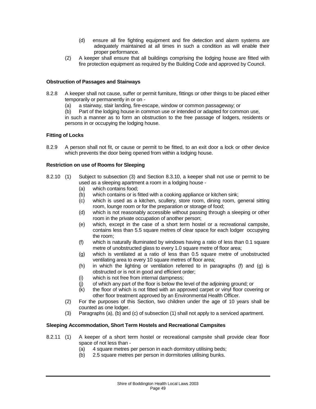- (d) ensure all fire fighting equipment and fire detection and alarm systems are adequately maintained at all times in such a condition as will enable their proper performance.
- (2) A keeper shall ensure that all buildings comprising the lodging house are fitted with fire protection equipment as required by the Building Code and approved by Council.

#### **Obstruction of Passages and Stairways**

- 8.2.8 A keeper shall not cause, suffer or permit furniture, fittings or other things to be placed either temporarily or permanently in or on -
	- (a) a stairway, stair landing, fire-escape, window or common passageway; or
	- (b) Part of the lodging house in common use or intended or adapted for common use,

in such a manner as to form an obstruction to the free passage of lodgers, residents or persons in or occupying the lodging house.

#### **Fitting of Locks**

8.2.9 A person shall not fit, or cause or permit to be fitted, to an exit door a lock or other device which prevents the door being opened from within a lodging house.

#### **Restriction on use of Rooms for Sleeping**

- 8.2.10 (1) Subject to subsection (3) and Section 8.3.10, a keeper shall not use or permit to be used as a sleeping apartment a room in a lodging house -
	- (a) which contains food;
	- (b) which contains or is fitted with a cooking appliance or kitchen sink;
	- (c) which is used as a kitchen, scullery, store room, dining room, general sitting room, lounge room or for the preparation or storage of food;
	- (d) which is not reasonably accessible without passing through a sleeping or other room in the private occupation of another person;
	- (e) which, except in the case of a short term hostel or a recreational campsite, contains less than 5.5 square metres of clear space for each lodger occupying the room;
	- (f) which is naturally illuminated by windows having a ratio of less than 0.1 square metre of unobstructed glass to every 1.0 square metre of floor area;
	- (g) which is ventilated at a ratio of less than 0.5 square metre of unobstructed ventilating area to every 10 square metres of floor area;
	- (h) in which the lighting or ventilation referred to in paragraphs (f) and (g) is obstructed or is not in good and efficient order;
	- (i) which is not free from internal dampness;
	- (j) of which any part of the floor is below the level of the adjoining ground; or
	- $(k)$  the floor of which is not fitted with an approved carpet or vinyl floor covering or other floor treatment approved by an Environmental Health Officer.
	- (2) For the purposes of this Section, two children under the age of 10 years shall be counted as one lodger.
	- (3) Paragraphs (a), (b) and (c) of subsection (1) shall not apply to a serviced apartment.

#### **Sleeping Accommodation, Short Term Hostels and Recreational Campsites**

- 8.2.11 (1) A keeper of a short term hostel or recreational campsite shall provide clear floor space of not less than -
	- (a) 4 square metres per person in each dormitory utilising beds;
	- (b) 2.5 square metres per person in dormitories utilising bunks.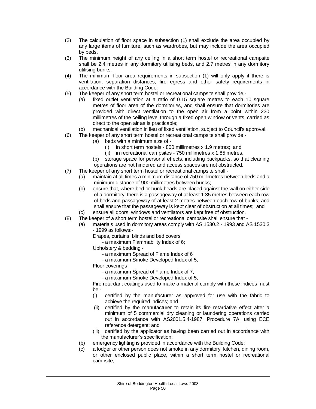- (2) The calculation of floor space in subsection (1) shall exclude the area occupied by any large items of furniture, such as wardrobes, but may include the area occupied by beds.
- (3) The minimum height of any ceiling in a short term hostel or recreational campsite shall be 2.4 metres in any dormitory utilising beds, and 2.7 metres in any dormitory utilising bunks.
- (4) The minimum floor area requirements in subsection (1) will only apply if there is ventilation, separation distances, fire egress and other safety requirements in accordance with the Building Code.
- (5) The keeper of any short term hostel or recreational campsite shall provide
	- (a) fixed outlet ventilation at a ratio of 0.15 square metres to each 10 square metres of floor area of the dormitories, and shall ensure that dormitories are provided with direct ventilation to the open air from a point within 230 millimetres of the ceiling level through a fixed open window or vents, carried as direct to the open air as is practicable;
	- (b) mechanical ventilation in lieu of fixed ventilation, subject to Council's approval.
- (6) The keeper of any short term hostel or recreational campsite shall provide
	- (a) beds with a minimum size of
		- (i) in short term hostels 800 millimetres x 1.9 metres; and
		- (ii) in recreational campsites 750 millimetres x 1.85 metres.
		- (b) storage space for personal effects, including backpacks, so that cleaning operations are not hindered and access spaces are not obstructed.
- (7) The keeper of any short term hostel or recreational campsite shall
	- (a) maintain at all times a minimum distance of 750 millimetres between beds and a minimum distance of 900 millimetres between bunks;
	- (b) ensure that, where bed or bunk heads are placed against the wall on either side of a dormitory, there is a passageway of at least 1.35 metres between each row of beds and passageway of at least 2 metres between each row of bunks, and shall ensure that the passageway is kept clear of obstruction at all times; and
	- (c) ensure all doors, windows and ventilators are kept free of obstruction.
- (8) The keeper of a short term hostel or recreational campsite shall ensure that
	- (a) materials used in dormitory areas comply with AS 1530.2 1993 and AS 1530.3 - 1999 as follows:-
		- Drapes, curtains, blinds and bed covers
			- a maximum Flammability Index of 6;
		- Upholstery & bedding
			- a maximum Spread of Flame Index of 6
			- a maximum Smoke Developed Index of 5;
		- Floor coverings
			- a maximum Spread of Flame Index of 7;
			- a maximum Smoke Developed Index of 5;
		- Fire retardant coatings used to make a material comply with these indices must be -
		- (i) certified by the manufacturer as approved for use with the fabric to achieve the required indices; and
		- (ii) certified by the manufacturer to retain its fire retardative effect after a minimum of 5 commercial dry cleaning or laundering operations carried out in accordance with AS2001.5.4-1987, Procedure 7A, using ECE reference detergent; and
		- (iii) certified by the applicator as having been carried out in accordance with the manufacturer's specification;
	- (b) emergency lighting is provided in accordance with the Building Code;
	- (c) a lodger or other person does not smoke in any dormitory, kitchen, dining room, or other enclosed public place, within a short term hostel or recreational campsite;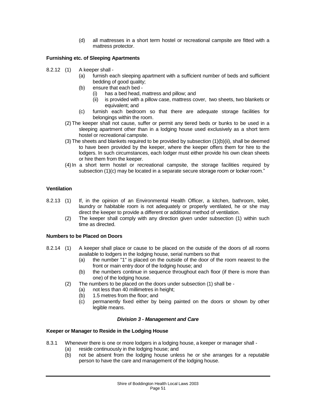(d) all mattresses in a short term hostel or recreational campsite are fitted with a mattress protector.

## **Furnishing etc. of Sleeping Apartments**

- 8.2.12 (1) A keeper shall
	- (a) furnish each sleeping apartment with a sufficient number of beds and sufficient bedding of good quality;
	- (b) ensure that each bed
		- (i) has a bed head, mattress and pillow; and  $(i)$  is provided with a pillow case, mattress co
		- is provided with a pillow case, mattress cover, two sheets, two blankets or equivalent; and
	- (c) furnish each bedroom so that there are adequate storage facilities for belongings within the room.
	- (2) The keeper shall not cause, suffer or permit any tiered beds or bunks to be used in a sleeping apartment other than in a lodging house used exclusively as a short term hostel or recreational campsite.
	- (3) The sheets and blankets required to be provided by subsection (1)(b)(ii), shall be deemed to have been provided by the keeper, where the keeper offers them for hire to the lodgers. In such circumstances, each lodger must either provide his own clean sheets or hire them from the keeper.
	- (4)In a short term hostel or recreational campsite, the storage facilities required by subsection (1)(c) may be located in a separate secure storage room or locker room."

## **Ventilation**

- 8.2.13 (1) If, in the opinion of an Environmental Health Officer, a kitchen, bathroom, toilet, laundry or habitable room is not adequately or properly ventilated, he or she may direct the keeper to provide a different or additional method of ventilation.
	- (2) The keeper shall comply with any direction given under subsection (1) within such time as directed.

## **Numbers to be Placed on Doors**

- 8.2.14 (1) A keeper shall place or cause to be placed on the outside of the doors of all rooms available to lodgers in the lodging house, serial numbers so that
	- (a) the number "1" is placed on the outside of the door of the room nearest to the front or main entry door of the lodging house; and
	- (b) the numbers continue in sequence throughout each floor (if there is more than one) of the lodging house.
	- (2) The numbers to be placed on the doors under subsection (1) shall be
		- (a) not less than 40 millimetres in height;
		- (b) 1.5 metres from the floor; and
		- (c) permanently fixed either by being painted on the doors or shown by other legible means.

#### *Division 3 - Management and Care*

#### **Keeper or Manager to Reside in the Lodging House**

- 8.3.1 Whenever there is one or more lodgers in a lodging house, a keeper or manager shall
	- (a) reside continuously in the lodging house; and
	- (b) not be absent from the lodging house unless he or she arranges for a reputable person to have the care and management of the lodging house.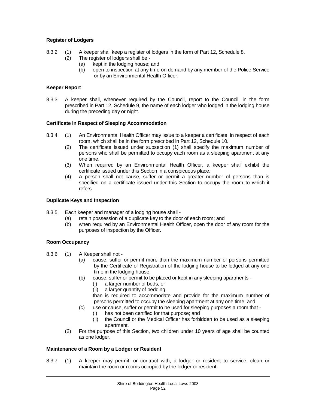## **Register of Lodgers**

- 8.3.2 (1) A keeper shall keep a register of lodgers in the form of Part 12, Schedule 8.
	- (2) The register of lodgers shall be
		- (a) kept in the lodging house; and
		- (b) open to inspection at any time on demand by any member of the Police Service or by an Environmental Health Officer.

## **Keeper Report**

8.3.3 A keeper shall, whenever required by the Council, report to the Council, in the form prescribed in Part 12, Schedule 9, the name of each lodger who lodged in the lodging house during the preceding day or night.

## **Certificate in Respect of Sleeping Accommodation**

- 8.3.4 (1) An Environmental Health Officer may issue to a keeper a certificate, in respect of each room, which shall be in the form prescribed in Part 12, Schedule 10.
	- (2) The certificate issued under subsection (1) shall specify the maximum number of persons who shall be permitted to occupy each room as a sleeping apartment at any one time.
	- (3) When required by an Environmental Health Officer, a keeper shall exhibit the certificate issued under this Section in a conspicuous place.
	- (4) A person shall not cause, suffer or permit a greater number of persons than is specified on a certificate issued under this Section to occupy the room to which it refers.

#### **Duplicate Keys and Inspection**

- 8.3.5 Each keeper and manager of a lodging house shall
	- (a) retain possession of a duplicate key to the door of each room; and (b) when required by an Environmental Health Officer, open the door
		- when required by an Environmental Health Officer, open the door of any room for the purposes of inspection by the Officer.

## **Room Occupancy**

- 8.3.6 (1) A Keeper shall not
	- (a) cause, suffer or permit more than the maximum number of persons permitted by the Certificate of Registration of the lodging house to be lodged at any one time in the lodging house;
	- (b) cause, suffer or permit to be placed or kept in any sleeping apartments
		- (i) a larger number of beds; or
		- (ii) a larger quantity of bedding,
		- than is required to accommodate and provide for the maximum number of persons permitted to occupy the sleeping apartment at any one time; and
	- (c) use or cause, suffer or permit to be used for sleeping purposes a room that
		- (i) has not been certified for that purpose; and
		- (ii) the Council or the Medical Officer has forbidden to be used as a sleeping apartment.
	- (2) For the purpose of this Section, two children under 10 years of age shall be counted as one lodger.

#### **Maintenance of a Room by a Lodger or Resident**

8.3.7 (1) A keeper may permit, or contract with, a lodger or resident to service, clean or maintain the room or rooms occupied by the lodger or resident.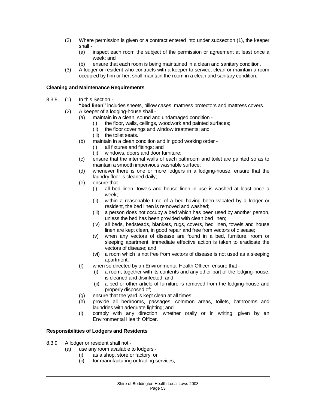- (2) Where permission is given or a contract entered into under subsection (1), the keeper shall -
	- (a) inspect each room the subject of the permission or agreement at least once a week; and
	- (b) ensure that each room is being maintained in a clean and sanitary condition.
- (3) A lodger or resident who contracts with a keeper to service, clean or maintain a room occupied by him or her, shall maintain the room in a clean and sanitary condition.

## **Cleaning and Maintenance Requirements**

- 8.3.8 (1) In this Section
	- **"bed linen"** includes sheets, pillow cases, mattress protectors and mattress covers.
	- (2) A keeper of a lodging-house shall
		- (a) maintain in a clean, sound and undamaged condition -<br>(i) the floor, walls, ceilings, woodwork and painted su
			- the floor, walls, ceilings, woodwork and painted surfaces;
			- (ii) the floor coverings and window treatments; and
			- (iii) the toilet seats.
		- (b) maintain in a clean condition and in good working order
			- (i) all fixtures and fittings; and
			- (ii) windows, doors and door furniture;
		- (c) ensure that the internal walls of each bathroom and toilet are painted so as to maintain a smooth impervious washable surface;
		- (d) whenever there is one or more lodgers in a lodging-house, ensure that the laundry floor is cleaned daily;
		- (e) ensure that
			- (i) all bed linen, towels and house linen in use is washed at least once a week;
			- (ii) within a reasonable time of a bed having been vacated by a lodger or resident, the bed linen is removed and washed;
			- (iii) a person does not occupy a bed which has been used by another person, unless the bed has been provided with clean bed linen;
			- (iv) all beds, bedsteads, blankets, rugs, covers, bed linen, towels and house linen are kept clean, in good repair and free from vectors of disease;
			- (v) when any vectors of disease are found in a bed, furniture, room or sleeping apartment, immediate effective action is taken to eradicate the vectors of disease; and
			- (vi) a room which is not free from vectors of disease is not used as a sleeping apartment;
		- (f) when so directed by an Environmental Health Officer, ensure that
			- (i) a room, together with its contents and any other part of the lodging-house, is cleaned and disinfected; and
			- (ii) a bed or other article of furniture is removed from the lodging-house and properly disposed of;
		- (g) ensure that the yard is kept clean at all times;
		- (h) provide all bedrooms, passages, common areas, toilets, bathrooms and laundries with adequate lighting; and
		- (i) comply with any direction, whether orally or in writing, given by an Environmental Health Officer.

## **Responsibilities of Lodgers and Residents**

- 8.3.9 A lodger or resident shall not
	- (a) use any room available to lodgers
		- (i) as a shop, store or factory; or
		- (ii) for manufacturing or trading services;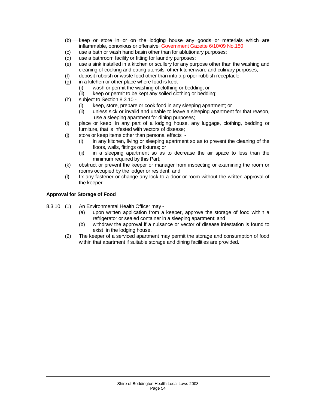- (b) keep or store in or on the lodging house any goods or materials which are inflammable, obnoxious or offensive; Government Gazette 6/10/09 No.180
- (c) use a bath or wash hand basin other than for ablutionary purposes;
- (d) use a bathroom facility or fitting for laundry purposes;
- (e) use a sink installed in a kitchen or scullery for any purpose other than the washing and cleaning of cooking and eating utensils, other kitchenware and culinary purposes;
- (f) deposit rubbish or waste food other than into a proper rubbish receptacle;
- (g) in a kitchen or other place where food is kept
	- (i) wash or permit the washing of clothing or bedding; or
	- (ii) keep or permit to be kept any soiled clothing or bedding;
- (h) subject to Section 8.3.10
	- (i) keep, store, prepare or cook food in any sleeping apartment; or
	- (ii) unless sick or invalid and unable to leave a sleeping apartment for that reason, use a sleeping apartment for dining purposes;
- (i) place or keep, in any part of a lodging house, any luggage, clothing, bedding or furniture, that is infested with vectors of disease;
- (j) store or keep items other than personal effects
	- (i) in any kitchen, living or sleeping apartment so as to prevent the cleaning of the floors, walls, fittings or fixtures; or
	- (ii) in a sleeping apartment so as to decrease the air space to less than the minimum required by this Part;
- (k) obstruct or prevent the keeper or manager from inspecting or examining the room or rooms occupied by the lodger or resident; and
- (l) fix any fastener or change any lock to a door or room without the written approval of the keeper.

## **Approval for Storage of Food**

- 8.3.10 (1) An Environmental Health Officer may
	- (a) upon written application from a keeper, approve the storage of food within a refrigerator or sealed container in a sleeping apartment; and
	- (b) withdraw the approval if a nuisance or vector of disease infestation is found to exist in the lodging house.
	- (2) The keeper of a serviced apartment may permit the storage and consumption of food within that apartment if suitable storage and dining facilities are provided.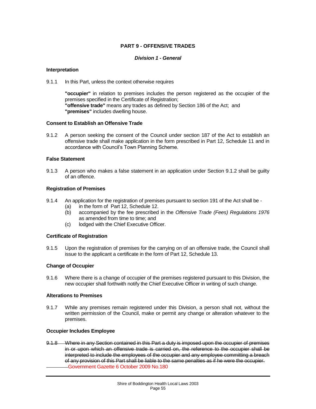## **PART 9 - OFFENSIVE TRADES**

#### *Division 1 - General*

#### **Interpretation**

#### 9.1.1 In this Part, unless the context otherwise requires

**"occupier"** in relation to premises includes the person registered as the occupier of the premises specified in the Certificate of Registration; **"offensive trade"** means any trades as defined by Section 186 of the Act; and **"premises"** includes dwelling house.

#### **Consent to Establish an Offensive Trade**

9.1.2 A person seeking the consent of the Council under section 187 of the Act to establish an offensive trade shall make application in the form prescribed in Part 12, Schedule 11 and in accordance with Council's Town Planning Scheme.

#### **False Statement**

9.1.3 A person who makes a false statement in an application under Section 9.1.2 shall be guilty of an offence.

#### **Registration of Premises**

- 9.1.4 An application for the registration of premises pursuant to section 191 of the Act shall be
	- (a) in the form of Part 12, Schedule 12.<br>(b) accompanied by the fee prescribed
	- (b) accompanied by the fee prescribed in the *Offensive Trade (Fees) Regulations 1976*  as amended from time to time; and
	- (c) lodged with the Chief Executive Officer.

#### **Certificate of Registration**

9.1.5 Upon the registration of premises for the carrying on of an offensive trade, the Council shall issue to the applicant a certificate in the form of Part 12, Schedule 13.

#### **Change of Occupier**

9.1.6 Where there is a change of occupier of the premises registered pursuant to this Division, the new occupier shall forthwith notify the Chief Executive Officer in writing of such change.

#### **Alterations to Premises**

9.1.7 While any premises remain registered under this Division, a person shall not, without the written permission of the Council, make or permit any change or alteration whatever to the premises.

#### **Occupier Includes Employee**

9.1.8 Where in any Section contained in this Part a duty is imposed upon the occupier of premises in or upon which an offensive trade is carried on, the reference to the occupier shall be interpreted to include the employees of the occupier and any employee committing a breach of any provision of this Part shall be liable to the same penalties as if he were the occupier. Government Gazette 6 October 2009 No.180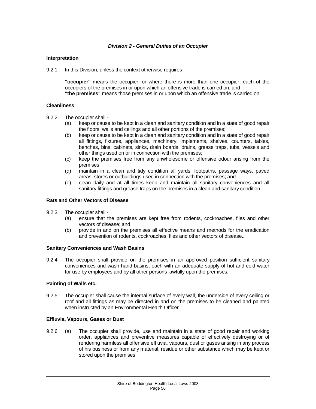#### *Division 2 - General Duties of an Occupier*

#### **Interpretation**

9.2.1 In this Division, unless the context otherwise requires -

**"occupier"** means the occupier, or where there is more than one occupier, each of the occupiers of the premises in or upon which an offensive trade is carried on; and **"the premises"** means those premises in or upon which an offensive trade is carried on.

#### **Cleanliness**

- 9.2.2 The occupier shall
	- (a) keep or cause to be kept in a clean and sanitary condition and in a state of good repair the floors, walls and ceilings and all other portions of the premises;
	- (b) keep or cause to be kept in a clean and sanitary condition and in a state of good repair all fittings, fixtures, appliances, machinery, implements, shelves, counters, tables, benches, bins, cabinets, sinks, drain boards, drains, grease traps, tubs, vessels and other things used on or in connection with the premises;
	- (c) keep the premises free from any unwholesome or offensive odour arising from the premises;
	- (d) maintain in a clean and tidy condition all yards, footpaths, passage ways, paved areas, stores or outbuildings used in connection with the premises; and
	- (e) clean daily and at all times keep and maintain all sanitary conveniences and all sanitary fittings and grease traps on the premises in a clean and sanitary condition.

#### **Rats and Other Vectors of Disease**

- 9.2.3 The occupier shall
	- (a) ensure that the premises are kept free from rodents, cockroaches, flies and other vectors of disease; and
	- (b) provide in and on the premises all effective means and methods for the eradication and prevention of rodents, cockroaches, flies and other vectors of disease..

#### **Sanitary Conveniences and Wash Basins**

9.2.4 The occupier shall provide on the premises in an approved position sufficient sanitary conveniences and wash hand basins, each with an adequate supply of hot and cold water for use by employees and by all other persons lawfully upon the premises.

#### **Painting of Walls etc.**

9.2.5 The occupier shall cause the internal surface of every wall, the underside of every ceiling or roof and all fittings as may be directed in and on the premises to be cleaned and painted when instructed by an Environmental Health Officer.

#### **Effluvia, Vapours, Gases or Dust**

9.2.6 (a) The occupier shall provide, use and maintain in a state of good repair and working order, appliances and preventive measures capable of effectively destroying or of rendering harmless all offensive effluvia, vapours, dust or gases arising in any process of his business or from any material, residue or other substance which may be kept or stored upon the premises;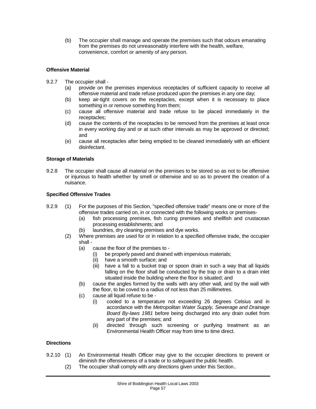(b) The occupier shall manage and operate the premises such that odours emanating from the premises do not unreasonably interfere with the health, welfare, convenience, comfort or amenity of any person.

## **Offensive Material**

- 9.2.7 The occupier shall
	- (a) provide on the premises impervious receptacles of sufficient capacity to receive all offensive material and trade refuse produced upon the premises in any one day;
	- (b) keep air-tight covers on the receptacles, except when it is necessary to place something in or remove something from them;
	- (c) cause all offensive material and trade refuse to be placed immediately in the receptacles;
	- (d) cause the contents of the receptacles to be removed from the premises at least once in every working day and or at such other intervals as may be approved or directed; and
	- (e) cause all receptacles after being emptied to be cleaned immediately with an efficient disinfectant.

## **Storage of Materials**

9.2.8 The occupier shall cause all material on the premises to be stored so as not to be offensive or injurious to health whether by smell or otherwise and so as to prevent the creation of a nuisance.

## **Specified Offensive Trades**

- 9.2.9 (1) For the purposes of this Section, "specified offensive trade" means one or more of the offensive trades carried on, in or connected with the following works or premises-
	- (a) fish processing premises, fish curing premises and shellfish and crustacean processing establishments; and
	- (b) laundries, dry cleaning premises and dye works.
	- (2) Where premises are used for or in relation to a specified offensive trade, the occupier shall -
		- (a) cause the floor of the premises to
			- (i) be properly paved and drained with impervious materials;
			- (ii) have a smooth surface; and
			- (iii) have a fall to a bucket trap or spoon drain in such a way that all liquids falling on the floor shall be conducted by the trap or drain to a drain inlet situated inside the building where the floor is situated; and
		- (b) cause the angles formed by the walls with any other wall, and by the wall with the floor, to be coved to a radius of not less than 25 millimetres.
		- (c) cause all liquid refuse to be
			- (i) cooled to a temperature not exceeding 26 degrees Celsius and in accordance with the *Metropolitan Water Supply, Sewerage and Drainage Board By-laws 1981* before being discharged into any drain outlet from any part of the premises; and
			- (ii) directed through such screening or purifying treatment as an Environmental Health Officer may from time to time direct.

#### **Directions**

- 9.2.10 (1) An Environmental Health Officer may give to the occupier directions to prevent or diminish the offensiveness of a trade or to safeguard the public health.
	- (2) The occupier shall comply with any directions given under this Section..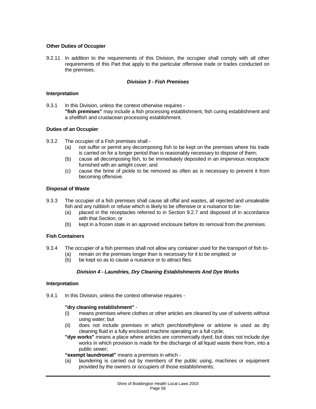#### **Other Duties of Occupier**

9.2.11 In addition to the requirements of this Division, the occupier shall comply with all other requirements of this Part that apply to the particular offensive trade or trades conducted on the premises.

#### *Division 3 - Fish Premises*

#### **Interpretation**

9.3.1 In this Division, unless the context otherwise requires -**"fish premises"** may include a fish processing establishment, fish curing establishment and a shellfish and crustacean processing establishment.

#### **Duties of an Occupier**

- 9.3.2 The occupier of a Fish premises shall
	- (a) not suffer or permit any decomposing fish to be kept on the premises where his trade is carried on for a longer period than is reasonably necessary to dispose of them;
	- (b) cause all decomposing fish, to be immediately deposited in an impervious receptacle furnished with an airtight cover; and
	- (c) cause the brine of pickle to be removed as often as is necessary to prevent it from becoming offensive.

#### **Disposal of Waste**

- 9.3.3 The occupier of a fish premises shall cause all offal and wastes, all rejected and unsaleable fish and any rubbish or refuse which is likely to be offensive or a nuisance to be-
	- (a) placed in the receptacles referred to in Section 9.2.7 and disposed of in accordance with that Section; or
	- (b) kept in a frozen state in an approved enclosure before its removal from the premises.

## **Fish Containers**

- 9.3.4 The occupier of a fish premises shall not allow any container used for the transport of fish to- (a) remain on the premises longer than is necessary for it to be emptied; or (b) be kept so as to cause a nuisance or to attract flies.
	- be kept so as to cause a nuisance or to attract flies.

## *Division 4 - Laundries, Dry Cleaning Establishments And Dye Works*

#### **Interpretation**

9.4.1 In this Division, unless the context otherwise requires -

#### **"dry cleaning establishment"** -

- (i) means premises where clothes or other articles are cleaned by use of solvents without using water; but
- (ii) does not include premises in which perchlorethylene or arklone is used as dry cleaning fluid in a fully enclosed machine operating on a full cycle;
- **"dye works"** means a place where articles are commercially dyed; but does not include dye works in which provision is made for the discharge of all liquid waste there from, into a public sewer;

**"exempt laundromat"** means a premises in which -

(a) laundering is carried out by members of the public using, machines or equipment provided by the owners or occupiers of those establishments;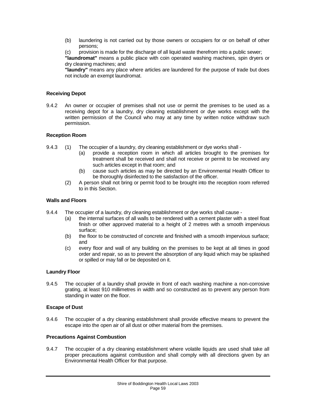- (b) laundering is not carried out by those owners or occupiers for or on behalf of other persons;
- (c) provision is made for the discharge of all liquid waste therefrom into a public sewer;

**"laundromat"** means a public place with coin operated washing machines, spin dryers or dry cleaning machines; and

**"laundry"** means any place where articles are laundered for the purpose of trade but does not include an exempt laundromat.

#### **Receiving Depot**

9.4.2 An owner or occupier of premises shall not use or permit the premises to be used as a receiving depot for a laundry, dry cleaning establishment or dye works except with the written permission of the Council who may at any time by written notice withdraw such permission.

#### **Reception Room**

- 9.4.3 (1) The occupier of a laundry, dry cleaning establishment or dye works shall
	- (a) provide a reception room in which all articles brought to the premises for treatment shall be received and shall not receive or permit to be received any such articles except in that room; and
	- (b) cause such articles as may be directed by an Environmental Health Officer to be thoroughly disinfected to the satisfaction of the officer.
	- (2) A person shall not bring or permit food to be brought into the reception room referred to in this Section.

#### **Walls and Floors**

- 9.4.4 The occupier of a laundry, dry cleaning establishment or dye works shall cause
	- (a) the internal surfaces of all walls to be rendered with a cement plaster with a steel float finish or other approved material to a height of 2 metres with a smooth impervious surface;
	- (b) the floor to be constructed of concrete and finished with a smooth impervious surface; and
	- (c) every floor and wall of any building on the premises to be kept at all times in good order and repair, so as to prevent the absorption of any liquid which may be splashed or spilled or may fall or be deposited on it.

#### **Laundry Floor**

9.4.5 The occupier of a laundry shall provide in front of each washing machine a non-corrosive grating, at least 910 millimetres in width and so constructed as to prevent any person from standing in water on the floor.

#### **Escape of Dust**

9.4.6 The occupier of a dry cleaning establishment shall provide effective means to prevent the escape into the open air of all dust or other material from the premises.

#### **Precautions Against Combustion**

9.4.7 The occupier of a dry cleaning establishment where volatile liquids are used shall take all proper precautions against combustion and shall comply with all directions given by an Environmental Health Officer for that purpose.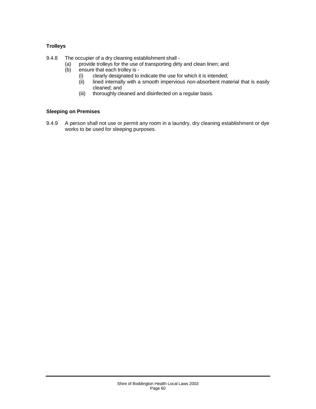## **Trolleys**

9.4.8 The occupier of a dry cleaning establishment shall -

- (a) provide trolleys for the use of transporting dirty and clean linen; and  $(b)$  ensure that each trolley is -
- ensure that each trolley is -
	- (i) clearly designated to indicate the use for which it is intended;<br>(ii) lined internally with a smooth impervious non-absorbent mat
	- lined internally with a smooth impervious non-absorbent material that is easily cleaned; and
	- (iii) thoroughly cleaned and disinfected on a regular basis.

## **Sleeping on Premises**

9.4.9 A person shall not use or permit any room in a laundry, dry cleaning establishment or dye works to be used for sleeping purposes.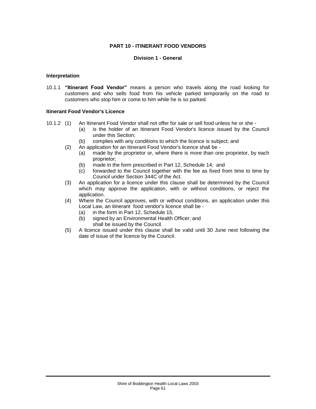## **PART 10 - ITINERANT FOOD VENDORS**

#### **Division 1 - General**

#### **Interpretation**

10.1.1 **"Itinerant Food Vendor"** means a person who travels along the road looking for customers and who sells food from his vehicle parked temporarily on the road to customers who stop him or come to him while he is so parked.

#### **Itinerant Food Vendor's Licence**

- 10.1.2 (1) An Itinerant Food Vendor shall not offer for sale or sell food unless he or she
	- (a) is the holder of an Itinerant Food Vendor's licence issued by the Council under this Section;
	- (b) complies with any conditions to which the licence is subject; and
	- (2) An application for an Itinerant Food Vendor's licence shall be
		- (a) made by the proprietor or, where there is more than one proprietor, by each proprietor;
		- (b) made in the form prescribed in Part 12, Schedule 14; and
		- (c) forwarded to the Council together with the fee as fixed from time to time by Council under Section 344C of the Act.
	- (3) An application for a licence under this clause shall be determined by the Council which may approve the application, with or without conditions, or reject the application.
	- (4) Where the Council approves, with or without conditions, an application under this Local Law, an itinerant food vendor's licence shall be -
		- (a) in the form in Part 12, Schedule 15,
		- (b) signed by an Environmental Health Officer; and shall be issued by the Council.
	- (5) A licence issued under this clause shall be valid until 30 June next following the date of issue of the licence by the Council.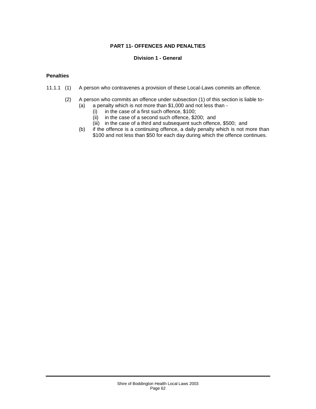## **PART 11- OFFENCES AND PENALTIES**

#### **Division 1 - General**

#### **Penalties**

- 11.1.1 (1) A person who contravenes a provision of these Local-Laws commits an offence.
	- (2) A person who commits an offence under subsection (1) of this section is liable to-<br>(a) a penalty which is not more than  $$1,000$  and not less than
		- a penalty which is not more than \$1,000 and not less than -
			-
			- (i) in the case of a first such offence,  $$100$ ;<br>(ii) in the case of a second such offence,  $$2$ in the case of a second such offence,  $$200;$  and
			- (iii) in the case of a third and subsequent such offence, \$500; and
		- (b) if the offence is a continuing offence, a daily penalty which is not more than \$100 and not less than \$50 for each day during which the offence continues.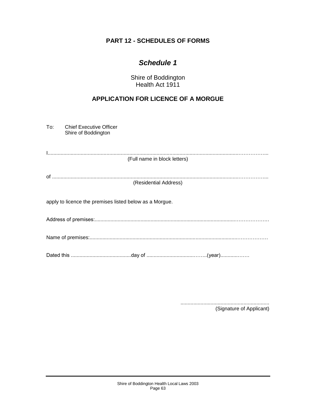## **PART 12 - SCHEDULES OF FORMS**

## *Schedule 1*

Shire of Boddington Health Act 1911

## **APPLICATION FOR LICENCE OF A MORGUE**

To: Chief Executive Officer Shire of Boddington

I.....................................................................................................................................……………... (Full name in block letters)

of ..................................................................................................................................……………... (Residential Address)

apply to licence the premises listed below as a Morgue.

Address of premises:..................................................................................................………………..

Name of premises:.......................................................................................................………………

Dated this ..........................................day of .................................……..(year)............…….

.............................................................. (Signature of Applicant)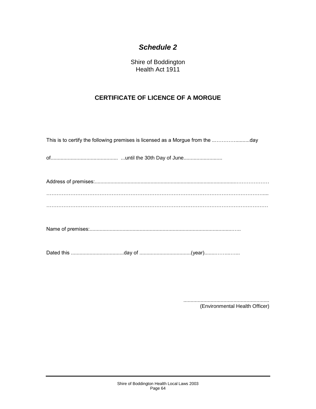Shire of Boddington Health Act 1911

## **CERTIFICATE OF LICENCE OF A MORGUE**

............................................................ (Environmental Health Officer)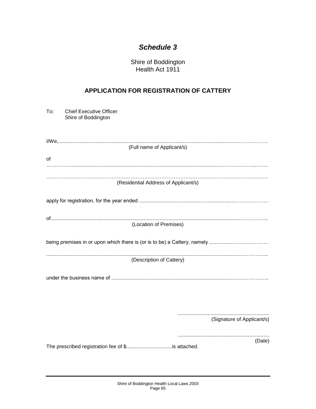Shire of Boddington Health Act 1911

## **APPLICATION FOR REGISTRATION OF CATTERY**

| To:<br><b>Chief Executive Officer</b><br>Shire of Boddington |  |  |  |
|--------------------------------------------------------------|--|--|--|
| (Full name of Applicant/s)                                   |  |  |  |
| of                                                           |  |  |  |
| (Residential Address of Applicant/s)                         |  |  |  |
|                                                              |  |  |  |
| (Location of Premises)                                       |  |  |  |
|                                                              |  |  |  |
| (Description of Cattery)                                     |  |  |  |
|                                                              |  |  |  |
|                                                              |  |  |  |
| (Signature of Applicant/s)                                   |  |  |  |
| (Date)                                                       |  |  |  |
|                                                              |  |  |  |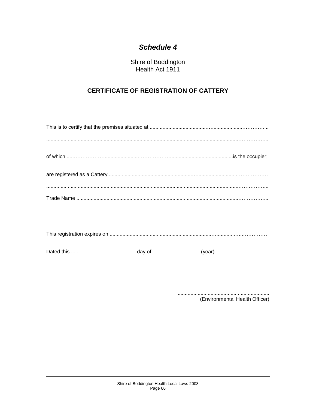Shire of Boddington Health Act 1911

## **CERTIFICATE OF REGISTRATION OF CATTERY**

|--|

(Environmental Health Officer)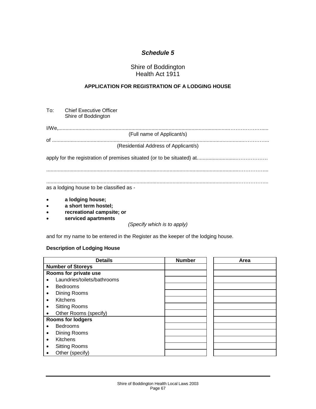## Shire of Boddington Health Act 1911

## **APPLICATION FOR REGISTRATION OF A LODGING HOUSE**

|                                               | To: Chief Executive Officer<br>Shire of Boddington |
|-----------------------------------------------|----------------------------------------------------|
|                                               |                                                    |
|                                               | (Full name of Applicant/s)                         |
|                                               | (Residential Address of Applicant/s)               |
|                                               |                                                    |
|                                               |                                                    |
|                                               | as a lodging house to be classified as -           |
| $\bullet$<br>$\bullet$ and a set of $\bullet$ | a lodging house;<br>a short term hostel.           |

- **a short term hostel;**
- **recreational campsite; or**
- **serviced apartments**

*(Specify which is to apply)*

and for my name to be entered in the Register as the keeper of the lodging house.

## **Description of Lodging House**

| <b>Details</b>                    | <b>Number</b> | Area |
|-----------------------------------|---------------|------|
| <b>Number of Storeys</b>          |               |      |
| Rooms for private use             |               |      |
| Laundries/toilets/bathrooms       |               |      |
| <b>Bedrooms</b><br>$\bullet$      |               |      |
| Dining Rooms<br>٠                 |               |      |
| <b>Kitchens</b><br>$\bullet$      |               |      |
| <b>Sitting Rooms</b><br>$\bullet$ |               |      |
| Other Rooms (specify)             |               |      |
| <b>Rooms for lodgers</b>          |               |      |
| <b>Bedrooms</b>                   |               |      |
| Dining Rooms<br>٠                 |               |      |
| Kitchens<br>$\bullet$             |               |      |
| <b>Sitting Rooms</b><br>$\bullet$ |               |      |
| Other (specify)                   |               |      |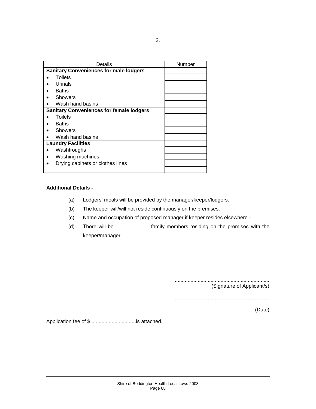|           | Details                                         | Number |
|-----------|-------------------------------------------------|--------|
|           | <b>Sanitary Conveniences for male lodgers</b>   |        |
|           | Toilets                                         |        |
|           | Urinals                                         |        |
|           | <b>Baths</b>                                    |        |
|           | Showers                                         |        |
|           | Wash hand basins                                |        |
|           | <b>Sanitary Conveniences for female lodgers</b> |        |
|           | <b>Toilets</b>                                  |        |
|           | <b>Baths</b>                                    |        |
|           | <b>Showers</b>                                  |        |
|           | Wash hand basins                                |        |
|           | <b>Laundry Facilities</b>                       |        |
| $\bullet$ | Washtroughs                                     |        |
|           | Washing machines                                |        |
|           | Drying cabinets or clothes lines                |        |
|           |                                                 |        |

## **Additional Details -**

- (a) Lodgers' meals will be provided by the manager/keeper/lodgers.
- (b) The keeper will/will not reside continuously on the premises.
- (c) Name and occupation of proposed manager if keeper resides elsewhere -
- (d) There will be...................……family members residing on the premises with the keeper/manager.

.................................................................. (Signature of Applicant/s)

..................................................................

(Date)

Application fee of \$................................is attached.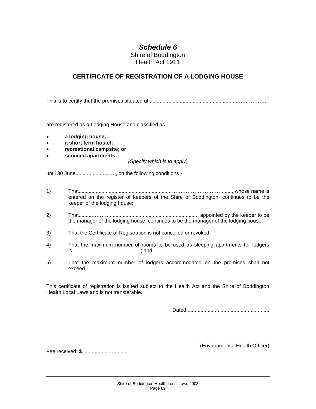Shire of Boddington Health Act 1911

## **CERTIFICATE OF REGISTRATION OF A LODGING HOUSE**

This is to certify that the premises situated at .............................................................………………

are registered as a Lodging House and classified as -

- **a lodging house;**
- **a short term hostel;**
- **recreational campsite; or**
- **serviced apartments**

*(Specify which is to apply)*

until 30 June............................, on the following conditions -

- 1) That................................................................…………………………......., whose name is entered on the register of keepers of the Shire of Boddington, continues to be the keeper of the lodging house;
- 2) That..........……….............................................................., appointed by the keeper to be the manager of the lodging house, continues to be the manager of the lodging house;
- 3) That the Certificate of Registration is not cancelled or revoked;
- 4) That the maximum number of rooms to be used as sleeping apartments for lodgers is................................................; and
- 5) That the maximum number of lodgers accommodated on the premises shall not exceed...................................................

This certificate of registration is issued subject to the Health Act and the Shire of Boddington Health Local Laws and is not transferable.

Dated..........................................................

................................................................... (Environmental Health Officer)

Fee received: \$...............................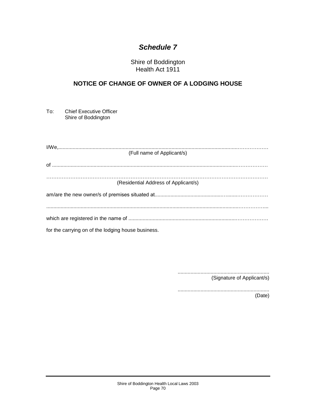Shire of Boddington Health Act 1911

## **NOTICE OF CHANGE OF OWNER OF A LODGING HOUSE**

To: Chief Executive Officer Shire of Boddington

| (Full name of Applicant/s)                         |  |  |  |  |
|----------------------------------------------------|--|--|--|--|
|                                                    |  |  |  |  |
|                                                    |  |  |  |  |
| (Residential Address of Applicant/s)               |  |  |  |  |
|                                                    |  |  |  |  |
|                                                    |  |  |  |  |
|                                                    |  |  |  |  |
| for the carrying on of the lodging house business. |  |  |  |  |

................................................................ (Signature of Applicant/s)

................................................................ (Date)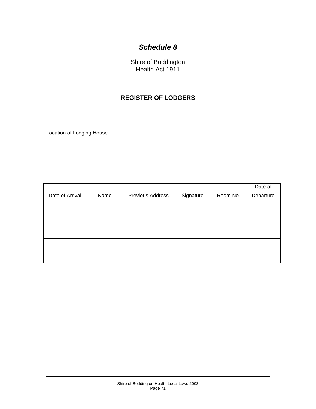Shire of Boddington Health Act 1911

## **REGISTER OF LODGERS**

Location of Lodging House...........................................................................................……………… ......................................................................................................................................……………...

|                 |      |                  |           |          | Date of   |
|-----------------|------|------------------|-----------|----------|-----------|
| Date of Arrival | Name | Previous Address | Signature | Room No. | Departure |
|                 |      |                  |           |          |           |
|                 |      |                  |           |          |           |
|                 |      |                  |           |          |           |
|                 |      |                  |           |          |           |
|                 |      |                  |           |          |           |
|                 |      |                  |           |          |           |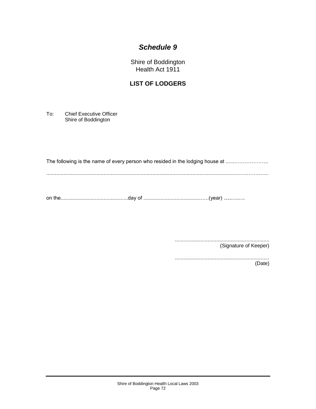Shire of Boddington Health Act 1911

## **LIST OF LODGERS**

To: Chief Executive Officer Shire of Boddington

The following is the name of every person who resided in the lodging house at ................................

......................................................................................................................................……………...

on the...............................................day of ........................................…..(year) ....….…

.................................................................. (Signature of Keeper)

.................................................................. (Date)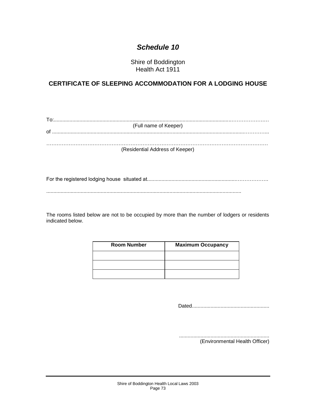Shire of Boddington Health Act 1911

### **CERTIFICATE OF SLEEPING ACCOMMODATION FOR A LODGING HOUSE**

| To: |                                 |
|-----|---------------------------------|
|     | (Full name of Keeper)           |
| Ωf  |                                 |
|     |                                 |
|     |                                 |
|     |                                 |
|     | (Residential Address of Keeper) |

For the registered lodging house situated at..............................................................……………….

........................................................................................................................................

The rooms listed below are not to be occupied by more than the number of lodgers or residents indicated below.

| <b>Room Number</b> | <b>Maximum Occupancy</b> |
|--------------------|--------------------------|
|                    |                          |
|                    |                          |
|                    |                          |

Dated......................................................

............................................................... (Environmental Health Officer)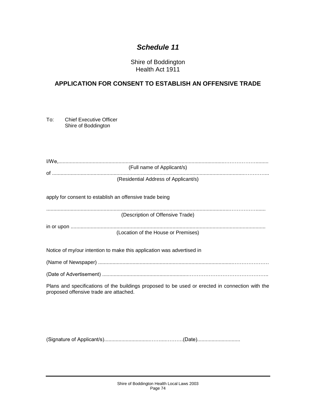Shire of Boddington Health Act 1911

### **APPLICATION FOR CONSENT TO ESTABLISH AN OFFENSIVE TRADE**

To: Chief Executive Officer Shire of Boddington

| (Full name of Applicant/s)                                                                                                                |
|-------------------------------------------------------------------------------------------------------------------------------------------|
| (Residential Address of Applicant/s)                                                                                                      |
| apply for consent to establish an offensive trade being                                                                                   |
| (Description of Offensive Trade)                                                                                                          |
|                                                                                                                                           |
| (Location of the House or Premises)                                                                                                       |
| Notice of my/our intention to make this application was advertised in                                                                     |
|                                                                                                                                           |
|                                                                                                                                           |
| Plans and specifications of the buildings proposed to be used or erected in connection with the<br>proposed offensive trade are attached. |
|                                                                                                                                           |
|                                                                                                                                           |
|                                                                                                                                           |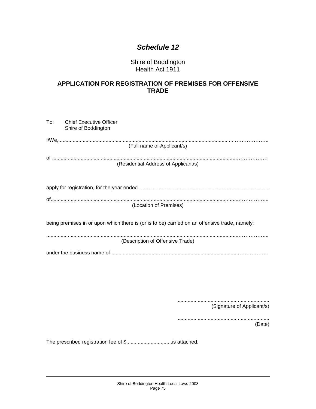Shire of Boddington Health Act 1911

#### **APPLICATION FOR REGISTRATION OF PREMISES FOR OFFENSIVE TRADE**

| To: | Chief Executive Officer<br>Shire of Boddington                                                |
|-----|-----------------------------------------------------------------------------------------------|
|     | (Full name of Applicant/s)                                                                    |
|     | (Residential Address of Applicant/s)                                                          |
|     |                                                                                               |
|     | (Location of Premises)                                                                        |
|     | being premises in or upon which there is (or is to be) carried on an offensive trade, namely: |
|     | (Description of Offensive Trade)                                                              |
|     |                                                                                               |

................................................................ (Signature of Applicant/s)

................................................................ (Date)

The prescribed registration fee of \$................................is attached.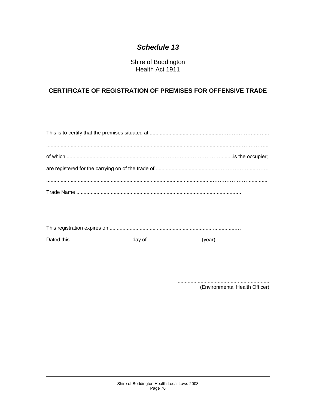Shire of Boddington Health Act 1911

#### CERTIFICATE OF REGISTRATION OF PREMISES FOR OFFENSIVE TRADE

(Environmental Health Officer)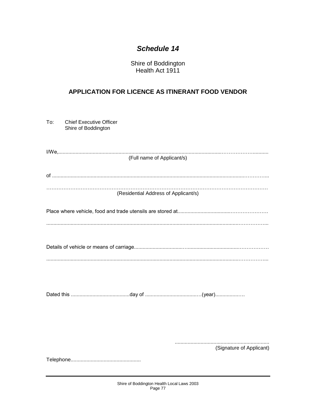Shire of Boddington Health Act 1911

### APPLICATION FOR LICENCE AS ITINERANT FOOD VENDOR

| To: | <b>Chief Executive Officer</b><br>Shire of Boddington |
|-----|-------------------------------------------------------|
|     | (Full name of Applicant/s)                            |
|     |                                                       |
|     | (Residential Address of Applicant/s)                  |
|     |                                                       |
|     |                                                       |
|     |                                                       |
|     |                                                       |
|     |                                                       |
|     |                                                       |
|     |                                                       |
|     |                                                       |
|     | (Signature of Applicant)                              |
|     |                                                       |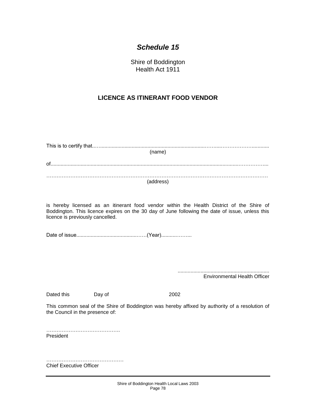Shire of Boddington Health Act 1911

#### **LICENCE AS ITINERANT FOOD VENDOR**

| (name)                                                                                                                                                                                                                           |        |                                     |  |
|----------------------------------------------------------------------------------------------------------------------------------------------------------------------------------------------------------------------------------|--------|-------------------------------------|--|
|                                                                                                                                                                                                                                  |        |                                     |  |
| (address)                                                                                                                                                                                                                        |        |                                     |  |
| is hereby licensed as an itinerant food vendor within the Health District of the Shire of<br>Boddington. This licence expires on the 30 day of June following the date of issue, unless this<br>licence is previously cancelled. |        |                                     |  |
|                                                                                                                                                                                                                                  |        |                                     |  |
|                                                                                                                                                                                                                                  |        | <b>Environmental Health Officer</b> |  |
| Dated this                                                                                                                                                                                                                       | Day of | 2002                                |  |
| This common seal of the Shire of Boddington was hereby affixed by authority of a resolution of<br>the Council in the presence of:                                                                                                |        |                                     |  |
| President                                                                                                                                                                                                                        |        |                                     |  |

……………………………………… Chief Executive Officer